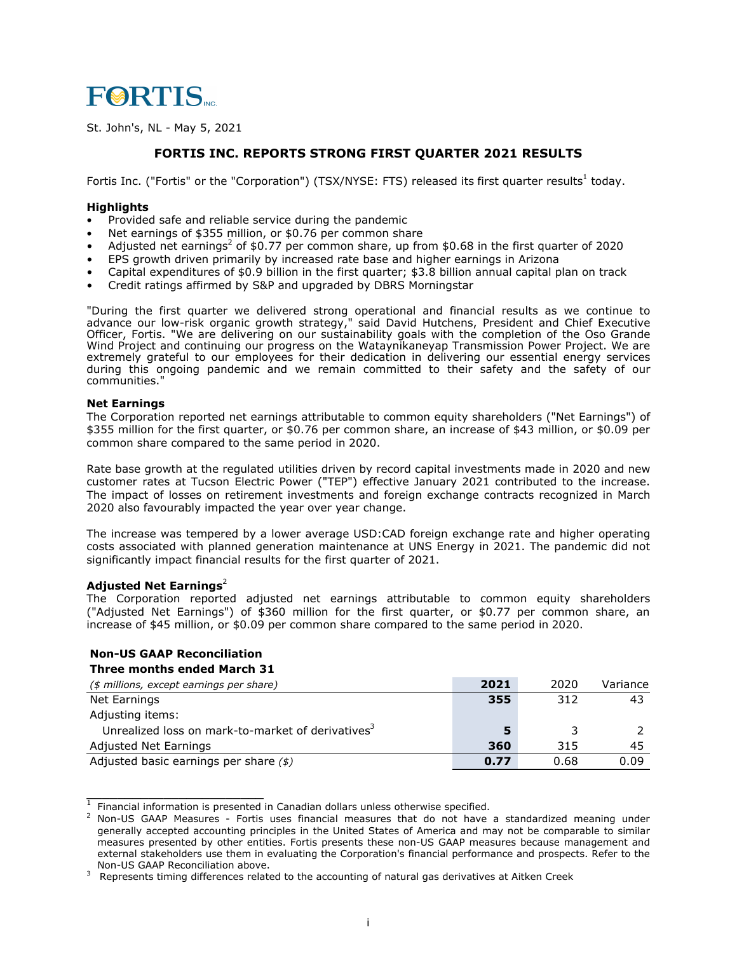

St. John's, NL - May 5, 2021

## **FORTIS INC. REPORTS STRONG FIRST QUARTER 2021 RESULTS**

Fortis Inc. ("Fortis" or the "Corporation") (TSX/NYSE: FTS) released its first quarter results<sup>1</sup> today.

## **Highlights**

- **•** Provided safe and reliable service during the pandemic
- **•** Net earnings of \$355 million, or \$0.76 per common share
- Adjusted net earnings<sup>2</sup> of \$0.77 per common share, up from \$0.68 in the first quarter of 2020
- EPS growth driven primarily by increased rate base and higher earnings in Arizona
- Capital expenditures of \$0.9 billion in the first quarter; \$3.8 billion annual capital plan on track
- Credit ratings affirmed by S&P and upgraded by DBRS Morningstar

"During the first quarter we delivered strong operational and financial results as we continue to advance our low-risk organic growth strategy," said David Hutchens, President and Chief Executive Officer, Fortis. "We are delivering on our sustainability goals with the completion of the Oso Grande Wind Project and continuing our progress on the Wataynikaneyap Transmission Power Project. We are extremely grateful to our employees for their dedication in delivering our essential energy services during this ongoing pandemic and we remain committed to their safety and the safety of our communities."

## **Net Earnings**

The Corporation reported net earnings attributable to common equity shareholders ("Net Earnings") of \$355 million for the first quarter, or \$0.76 per common share, an increase of \$43 million, or \$0.09 per common share compared to the same period in 2020.

Rate base growth at the regulated utilities driven by record capital investments made in 2020 and new customer rates at Tucson Electric Power ("TEP") effective January 2021 contributed to the increase. The impact of losses on retirement investments and foreign exchange contracts recognized in March 2020 also favourably impacted the year over year change.

The increase was tempered by a lower average USD:CAD foreign exchange rate and higher operating costs associated with planned generation maintenance at UNS Energy in 2021. The pandemic did not significantly impact financial results for the first quarter of 2021.

## **Adjusted Net Earnings**<sup>2</sup>

The Corporation reported adjusted net earnings attributable to common equity shareholders ("Adjusted Net Earnings") of \$360 million for the first quarter, or \$0.77 per common share, an increase of \$45 million, or \$0.09 per common share compared to the same period in 2020.

# **Non-US GAAP Reconciliation**

## **Three months ended March 31**

| (\$ millions, except earnings per share)                      | 2021 | 2020 | Variance |
|---------------------------------------------------------------|------|------|----------|
| Net Earnings                                                  | 355  | 312  | 43       |
| Adjusting items:                                              |      |      |          |
| Unrealized loss on mark-to-market of derivatives <sup>3</sup> |      |      |          |
| Adjusted Net Earnings                                         | 360  | 315  | 45       |
| Adjusted basic earnings per share $($ math)                   | 0.77 | 0.68 | 0.09     |

<sup>&</sup>lt;sup>1</sup> Financial information is presented in Canadian dollars unless otherwise specified.

Non-US GAAP Measures - Fortis uses financial measures that do not have a standardized meaning under generally accepted accounting principles in the United States of America and may not be comparable to similar measures presented by other entities. Fortis presents these non-US GAAP measures because management and external stakeholders use them in evaluating the Corporation's financial performance and prospects. Refer to the Non-US GAAP Reconciliation above.

<sup>3</sup> Represents timing differences related to the accounting of natural gas derivatives at Aitken Creek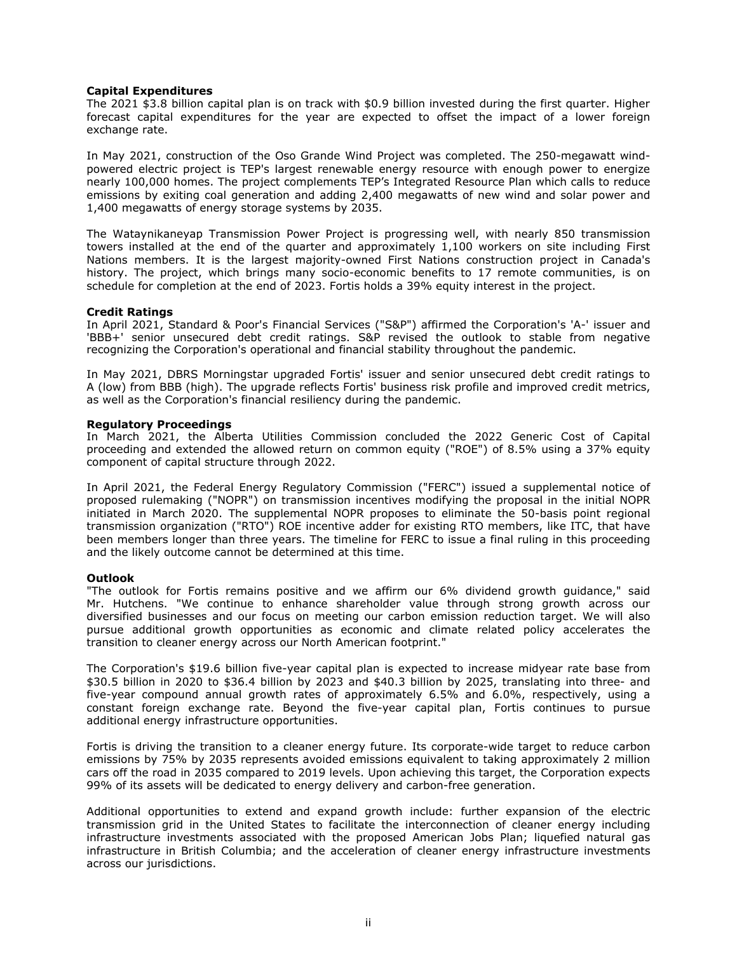### **Capital Expenditures**

The 2021 \$3.8 billion capital plan is on track with \$0.9 billion invested during the first quarter. Higher forecast capital expenditures for the year are expected to offset the impact of a lower foreign exchange rate.

In May 2021, construction of the Oso Grande Wind Project was completed. The 250-megawatt windpowered electric project is TEP's largest renewable energy resource with enough power to energize nearly 100,000 homes. The project complements TEP's Integrated Resource Plan which calls to reduce emissions by exiting coal generation and adding 2,400 megawatts of new wind and solar power and 1,400 megawatts of energy storage systems by 2035.

The Wataynikaneyap Transmission Power Project is progressing well, with nearly 850 transmission towers installed at the end of the quarter and approximately 1,100 workers on site including First Nations members. It is the largest majority-owned First Nations construction project in Canada's history. The project, which brings many socio-economic benefits to 17 remote communities, is on schedule for completion at the end of 2023. Fortis holds a 39% equity interest in the project.

## **Credit Ratings**

In April 2021, Standard & Poor's Financial Services ("S&P") affirmed the Corporation's 'A-' issuer and 'BBB+' senior unsecured debt credit ratings. S&P revised the outlook to stable from negative recognizing the Corporation's operational and financial stability throughout the pandemic.

In May 2021, DBRS Morningstar upgraded Fortis' issuer and senior unsecured debt credit ratings to A (low) from BBB (high). The upgrade reflects Fortis' business risk profile and improved credit metrics, as well as the Corporation's financial resiliency during the pandemic.

### **Regulatory Proceedings**

In March 2021, the Alberta Utilities Commission concluded the 2022 Generic Cost of Capital proceeding and extended the allowed return on common equity ("ROE") of 8.5% using a 37% equity component of capital structure through 2022.

In April 2021, the Federal Energy Regulatory Commission ("FERC") issued a supplemental notice of proposed rulemaking ("NOPR") on transmission incentives modifying the proposal in the initial NOPR initiated in March 2020. The supplemental NOPR proposes to eliminate the 50-basis point regional transmission organization ("RTO") ROE incentive adder for existing RTO members, like ITC, that have been members longer than three years. The timeline for FERC to issue a final ruling in this proceeding and the likely outcome cannot be determined at this time.

### **Outlook**

"The outlook for Fortis remains positive and we affirm our 6% dividend growth guidance," said Mr. Hutchens. "We continue to enhance shareholder value through strong growth across our diversified businesses and our focus on meeting our carbon emission reduction target. We will also pursue additional growth opportunities as economic and climate related policy accelerates the transition to cleaner energy across our North American footprint."

The Corporation's \$19.6 billion five-year capital plan is expected to increase midyear rate base from \$30.5 billion in 2020 to \$36.4 billion by 2023 and \$40.3 billion by 2025, translating into three- and five-year compound annual growth rates of approximately 6.5% and 6.0%, respectively, using a constant foreign exchange rate. Beyond the five-year capital plan, Fortis continues to pursue additional energy infrastructure opportunities.

Fortis is driving the transition to a cleaner energy future. Its corporate-wide target to reduce carbon emissions by 75% by 2035 represents avoided emissions equivalent to taking approximately 2 million cars off the road in 2035 compared to 2019 levels. Upon achieving this target, the Corporation expects 99% of its assets will be dedicated to energy delivery and carbon-free generation.

Additional opportunities to extend and expand growth include: further expansion of the electric transmission grid in the United States to facilitate the interconnection of cleaner energy including infrastructure investments associated with the proposed American Jobs Plan; liquefied natural gas infrastructure in British Columbia; and the acceleration of cleaner energy infrastructure investments across our jurisdictions.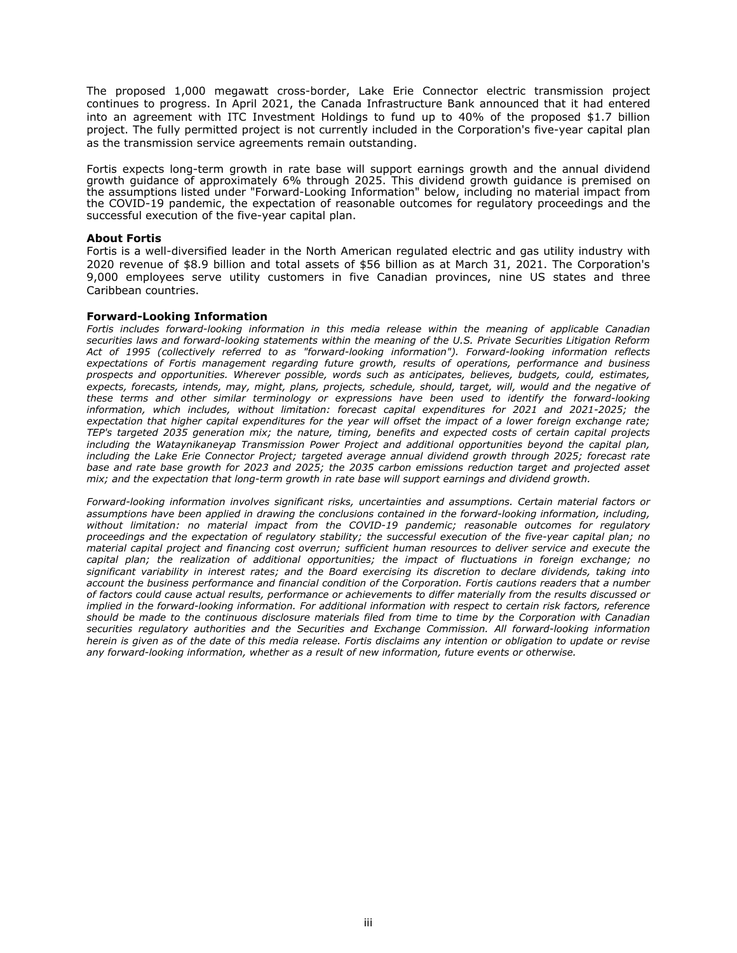The proposed 1,000 megawatt cross-border, Lake Erie Connector electric transmission project continues to progress. In April 2021, the Canada Infrastructure Bank announced that it had entered into an agreement with ITC Investment Holdings to fund up to 40% of the proposed \$1.7 billion project. The fully permitted project is not currently included in the Corporation's five-year capital plan as the transmission service agreements remain outstanding.

Fortis expects long-term growth in rate base will support earnings growth and the annual dividend growth guidance of approximately 6% through 2025. This dividend growth guidance is premised on the assumptions listed under "Forward-Looking Information" below, including no material impact from the COVID-19 pandemic, the expectation of reasonable outcomes for regulatory proceedings and the successful execution of the five-year capital plan.

#### **About Fortis**

Fortis is a well-diversified leader in the North American regulated electric and gas utility industry with 2020 revenue of \$8.9 billion and total assets of \$56 billion as at March 31, 2021. The Corporation's 9,000 employees serve utility customers in five Canadian provinces, nine US states and three Caribbean countries.

#### **Forward-Looking Information**

*Fortis includes forward-looking information in this media release within the meaning of applicable Canadian securities laws and forward-looking statements within the meaning of the U.S. Private Securities Litigation Reform Act of 1995 (collectively referred to as "forward-looking information"). Forward-looking information reflects expectations of Fortis management regarding future growth, results of operations, performance and business prospects and opportunities. Wherever possible, words such as anticipates, believes, budgets, could, estimates, expects, forecasts, intends, may, might, plans, projects, schedule, should, target, will, would and the negative of these terms and other similar terminology or expressions have been used to identify the forward-looking information, which includes, without limitation: forecast capital expenditures for 2021 and 2021-2025; the expectation that higher capital expenditures for the year will offset the impact of a lower foreign exchange rate; TEP's targeted 2035 generation mix; the nature, timing, benefits and expected costs of certain capital projects including the Wataynikaneyap Transmission Power Project and additional opportunities beyond the capital plan, including the Lake Erie Connector Project; targeted average annual dividend growth through 2025; forecast rate base and rate base growth for 2023 and 2025; the 2035 carbon emissions reduction target and projected asset mix; and the expectation that long-term growth in rate base will support earnings and dividend growth.*

*Forward-looking information involves significant risks, uncertainties and assumptions. Certain material factors or assumptions have been applied in drawing the conclusions contained in the forward-looking information, including, without limitation: no material impact from the COVID-19 pandemic; reasonable outcomes for regulatory proceedings and the expectation of regulatory stability; the successful execution of the five-year capital plan; no material capital project and financing cost overrun; sufficient human resources to deliver service and execute the capital plan; the realization of additional opportunities; the impact of fluctuations in foreign exchange; no significant variability in interest rates; and the Board exercising its discretion to declare dividends, taking into account the business performance and financial condition of the Corporation. Fortis cautions readers that a number of factors could cause actual results, performance or achievements to differ materially from the results discussed or implied in the forward-looking information. For additional information with respect to certain risk factors, reference should be made to the continuous disclosure materials filed from time to time by the Corporation with Canadian securities regulatory authorities and the Securities and Exchange Commission. All forward-looking information herein is given as of the date of this media release. Fortis disclaims any intention or obligation to update or revise any forward-looking information, whether as a result of new information, future events or otherwise.*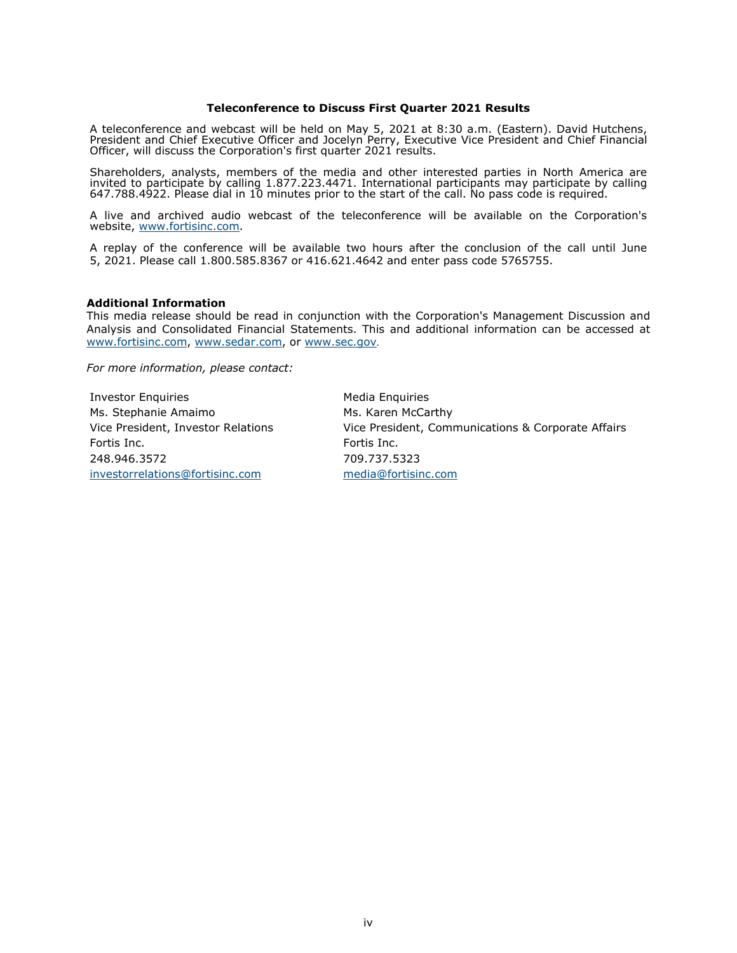### **Teleconference to Discuss First Quarter 2021 Results**

A teleconference and webcast will be held on May 5, 2021 at 8:30 a.m. (Eastern). David Hutchens, President and Chief Executive Officer and Jocelyn Perry, Executive Vice President and Chief Financial Officer, will discuss the Corporation's first quarter 2021 results.

Shareholders, analysts, members of the media and other interested parties in North America are invited to participate by calling 1.877.223.4471. International participants may participate by calling 647.788.4922. Please dial in 10 minutes prior to the start of the call. No pass code is required.

A live and archived audio webcast of the teleconference will be available on the Corporation's website, www.fortisinc.com.

A replay of the conference will be available two hours after the conclusion of the call until June 5, 2021. Please call 1.800.585.8367 or 416.621.4642 and enter pass code 5765755.

#### **Additional Information**

This media release should be read in conjunction with the Corporation's Management Discussion and Analysis and Consolidated Financial Statements. This and additional information can be accessed at www.fortisinc.com, www.sedar.com, or www.sec.gov.

*For more information, please contact:*

Investor Enquiries **Media Enquiries** Media Enquiries Ms. Stephanie Amaimo Ms. Karen McCarthy Fortis Inc. Fortis Inc. 248.946.3572 709.737.5323 investorrelations@fortisinc.com media@fortisinc.com

Vice President, Investor Relations Vice President, Communications & Corporate Affairs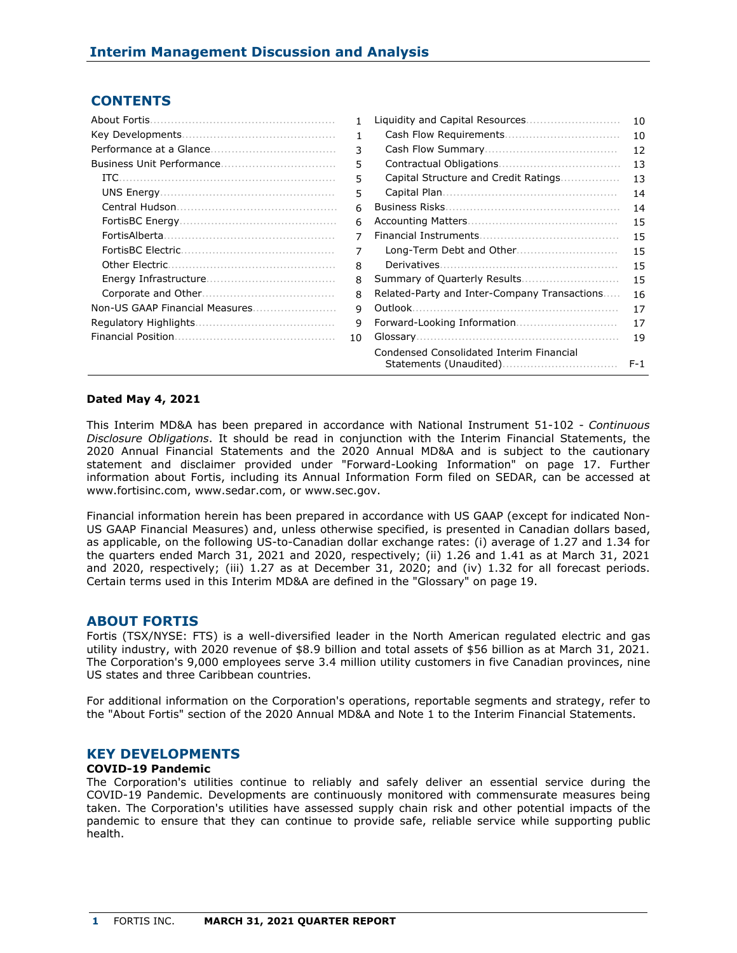# **CONTENTS**

| About Fortis.  | 1.           |                                              | 10    |
|----------------|--------------|----------------------------------------------|-------|
|                | 1.           |                                              | 10    |
|                | 3            |                                              | 12    |
|                | 5            |                                              | 13    |
|                | 5            | Capital Structure and Credit Ratings         | 13    |
|                | 5            |                                              | 14    |
|                | 6            |                                              | 14    |
|                | 6            |                                              | 15    |
|                | 7            |                                              | 15    |
|                | 7            |                                              | 15    |
| Other Electric | 8            |                                              | 15    |
|                | 8            |                                              | 15    |
|                | 8            | Related-Party and Inter-Company Transactions | 16    |
|                | $\mathsf{q}$ |                                              | 17    |
|                | 9            |                                              | 17    |
|                | 10           |                                              | 19    |
|                |              | Condensed Consolidated Interim Financial     | $F-1$ |

## **Dated May 4, 2021**

This Interim MD&A has been prepared in accordance with National Instrument 51-102 - *Continuous Disclosure Obligations*. It should be read in conjunction with the Interim Financial Statements, the 2020 Annual Financial Statements and the 2020 Annual MD&A and is subject to the cautionary statement and disclaimer provided under "Forward-Looking Information" on page 17. Further information about Fortis, including its Annual Information Form filed on SEDAR, can be accessed at www.fortisinc.com, www.sedar.com, or www.sec.gov.

Financial information herein has been prepared in accordance with US GAAP (except for indicated Non-US GAAP Financial Measures) and, unless otherwise specified, is presented in Canadian dollars based, as applicable, on the following US-to-Canadian dollar exchange rates: (i) average of 1.27 and 1.34 for the quarters ended March 31, 2021 and 2020, respectively; (ii) 1.26 and 1.41 as at March 31, 2021 and 2020, respectively; (iii) 1.27 as at December 31, 2020; and (iv) 1.32 for all forecast periods. Certain terms used in this Interim MD&A are defined in the "Glossary" on page 19.

## **ABOUT FORTIS**

Fortis (TSX/NYSE: FTS) is a well-diversified leader in the North American regulated electric and gas utility industry, with 2020 revenue of \$8.9 billion and total assets of \$56 billion as at March 31, 2021. The Corporation's 9,000 employees serve 3.4 million utility customers in five Canadian provinces, nine US states and three Caribbean countries.

For additional information on the Corporation's operations, reportable segments and strategy, refer to the "About Fortis" section of the 2020 Annual MD&A and Note 1 to the Interim Financial Statements.

## **KEY DEVELOPMENTS**

### **COVID-19 Pandemic**

The Corporation's utilities continue to reliably and safely deliver an essential service during the COVID-19 Pandemic. Developments are continuously monitored with commensurate measures being taken. The Corporation's utilities have assessed supply chain risk and other potential impacts of the pandemic to ensure that they can continue to provide safe, reliable service while supporting public health.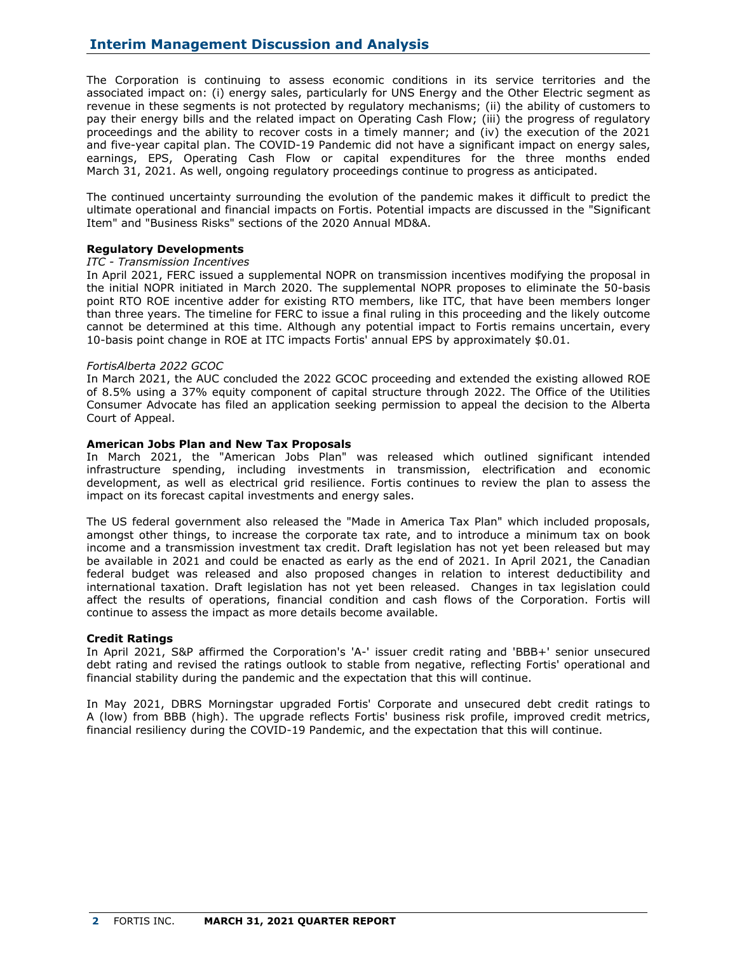The Corporation is continuing to assess economic conditions in its service territories and the associated impact on: (i) energy sales, particularly for UNS Energy and the Other Electric segment as revenue in these segments is not protected by regulatory mechanisms; (ii) the ability of customers to pay their energy bills and the related impact on Operating Cash Flow; (iii) the progress of regulatory proceedings and the ability to recover costs in a timely manner; and (iv) the execution of the 2021 and five-year capital plan. The COVID-19 Pandemic did not have a significant impact on energy sales, earnings, EPS, Operating Cash Flow or capital expenditures for the three months ended March 31, 2021. As well, ongoing regulatory proceedings continue to progress as anticipated.

The continued uncertainty surrounding the evolution of the pandemic makes it difficult to predict the ultimate operational and financial impacts on Fortis. Potential impacts are discussed in the "Significant Item" and "Business Risks" sections of the 2020 Annual MD&A.

## **Regulatory Developments**

### *ITC - Transmission Incentives*

In April 2021, FERC issued a supplemental NOPR on transmission incentives modifying the proposal in the initial NOPR initiated in March 2020. The supplemental NOPR proposes to eliminate the 50-basis point RTO ROE incentive adder for existing RTO members, like ITC, that have been members longer than three years. The timeline for FERC to issue a final ruling in this proceeding and the likely outcome cannot be determined at this time. Although any potential impact to Fortis remains uncertain, every 10-basis point change in ROE at ITC impacts Fortis' annual EPS by approximately \$0.01.

### *FortisAlberta 2022 GCOC*

In March 2021, the AUC concluded the 2022 GCOC proceeding and extended the existing allowed ROE of 8.5% using a 37% equity component of capital structure through 2022. The Office of the Utilities Consumer Advocate has filed an application seeking permission to appeal the decision to the Alberta Court of Appeal.

## **American Jobs Plan and New Tax Proposals**

In March 2021, the "American Jobs Plan" was released which outlined significant intended infrastructure spending, including investments in transmission, electrification and economic development, as well as electrical grid resilience. Fortis continues to review the plan to assess the impact on its forecast capital investments and energy sales.

The US federal government also released the "Made in America Tax Plan" which included proposals, amongst other things, to increase the corporate tax rate, and to introduce a minimum tax on book income and a transmission investment tax credit. Draft legislation has not yet been released but may be available in 2021 and could be enacted as early as the end of 2021. In April 2021, the Canadian federal budget was released and also proposed changes in relation to interest deductibility and international taxation. Draft legislation has not yet been released. Changes in tax legislation could affect the results of operations, financial condition and cash flows of the Corporation. Fortis will continue to assess the impact as more details become available.

### **Credit Ratings**

In April 2021, S&P affirmed the Corporation's 'A-' issuer credit rating and 'BBB+' senior unsecured debt rating and revised the ratings outlook to stable from negative, reflecting Fortis' operational and financial stability during the pandemic and the expectation that this will continue.

In May 2021, DBRS Morningstar upgraded Fortis' Corporate and unsecured debt credit ratings to A (low) from BBB (high). The upgrade reflects Fortis' business risk profile, improved credit metrics, financial resiliency during the COVID-19 Pandemic, and the expectation that this will continue.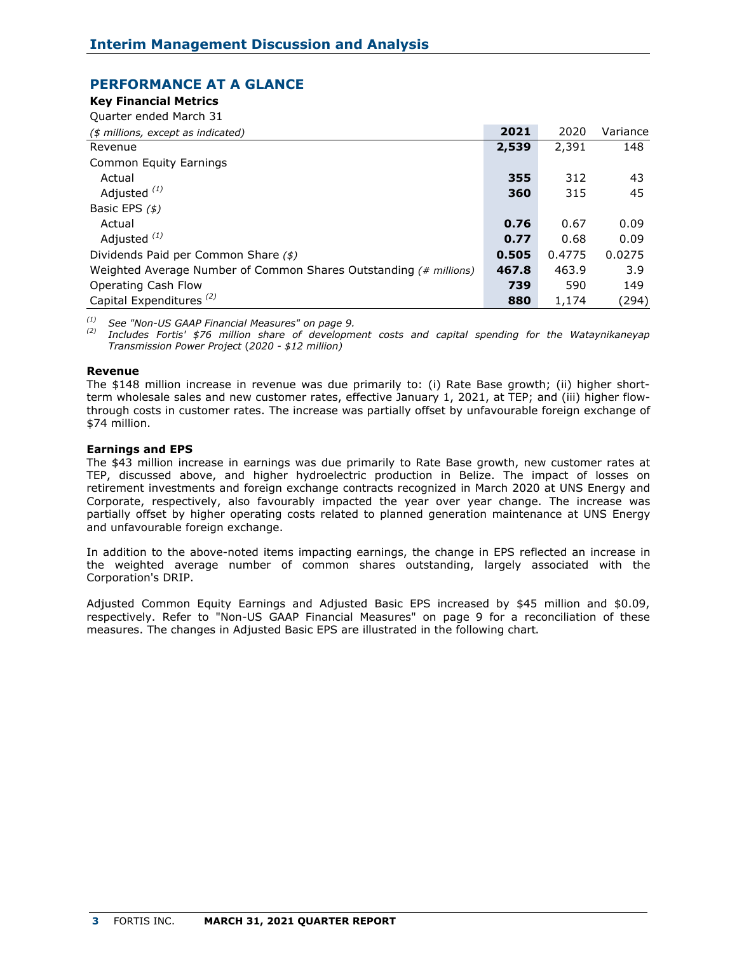# **PERFORMANCE AT A GLANCE**

## **Key Financial Metrics**

Quarter ended March 31

| (\$ millions, except as indicated)                                | 2021  | 2020   | Variance |
|-------------------------------------------------------------------|-------|--------|----------|
| Revenue                                                           | 2,539 | 2,391  | 148      |
| Common Equity Earnings                                            |       |        |          |
| Actual                                                            | 355   | 312    | 43       |
| Adjusted <sup>(1)</sup>                                           | 360   | 315    | 45       |
| Basic EPS $($ \$)                                                 |       |        |          |
| Actual                                                            | 0.76  | 0.67   | 0.09     |
| Adjusted $(1)$                                                    | 0.77  | 0.68   | 0.09     |
| Dividends Paid per Common Share (\$)                              | 0.505 | 0.4775 | 0.0275   |
| Weighted Average Number of Common Shares Outstanding (# millions) | 467.8 | 463.9  | 3.9      |
| Operating Cash Flow                                               | 739   | 590    | 149      |
| Capital Expenditures <sup>(2)</sup>                               | 880   | 1,174  | (294)    |

*(1) See "Non-US GAAP Financial Measures" on page 9.*

*(2) Includes Fortis' \$76 million share of development costs and capital spending for the Wataynikaneyap Transmission Power Project* (*2020 - \$12 million)*

## **Revenue**

The \$148 million increase in revenue was due primarily to: (i) Rate Base growth; (ii) higher shortterm wholesale sales and new customer rates, effective January 1, 2021, at TEP; and (iii) higher flowthrough costs in customer rates. The increase was partially offset by unfavourable foreign exchange of \$74 million.

## **Earnings and EPS**

The \$43 million increase in earnings was due primarily to Rate Base growth, new customer rates at TEP, discussed above, and higher hydroelectric production in Belize. The impact of losses on retirement investments and foreign exchange contracts recognized in March 2020 at UNS Energy and Corporate, respectively, also favourably impacted the year over year change. The increase was partially offset by higher operating costs related to planned generation maintenance at UNS Energy and unfavourable foreign exchange.

In addition to the above-noted items impacting earnings, the change in EPS reflected an increase in the weighted average number of common shares outstanding, largely associated with the Corporation's DRIP.

Adjusted Common Equity Earnings and Adjusted Basic EPS increased by \$45 million and \$0.09, respectively. Refer to "Non-US GAAP Financial Measures" on page 9 for a reconciliation of these measures. The changes in Adjusted Basic EPS are illustrated in the following chart.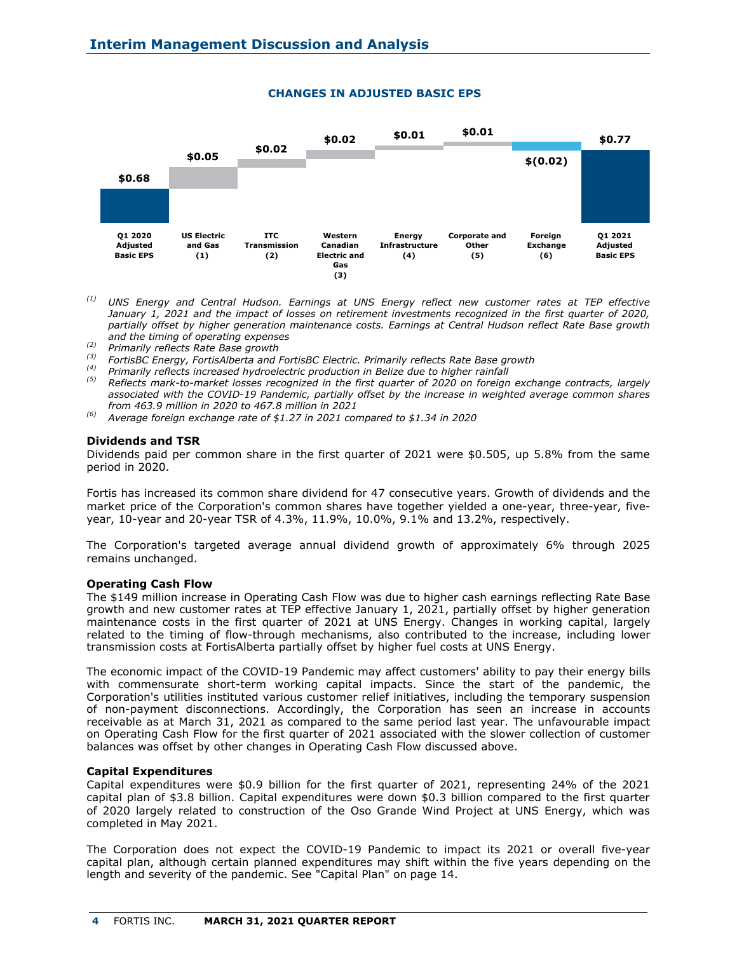

## **CHANGES IN ADJUSTED BASIC EPS**

- *(1) UNS Energy and Central Hudson. Earnings at UNS Energy reflect new customer rates at TEP effective January 1, 2021 and the impact of losses on retirement investments recognized in the first quarter of 2020, partially offset by higher generation maintenance costs. Earnings at Central Hudson reflect Rate Base growth and the timing of operating expenses*
- *(2) Primarily reflects Rate Base growth*
- *(3) FortisBC Energy, FortisAlberta and FortisBC Electric. Primarily reflects Rate Base growth*
- *(4) Primarily reflects increased hydroelectric production in Belize due to higher rainfall*
- *(5) Reflects mark-to-market losses recognized in the first quarter of 2020 on foreign exchange contracts, largely associated with the COVID-19 Pandemic, partially offset by the increase in weighted average common shares from 463.9 million in 2020 to 467.8 million in 2021*
- *(6) Average foreign exchange rate of \$1.27 in 2021 compared to \$1.34 in 2020*

### **Dividends and TSR**

Dividends paid per common share in the first quarter of 2021 were \$0.505, up 5.8% from the same period in 2020.

Fortis has increased its common share dividend for 47 consecutive years. Growth of dividends and the market price of the Corporation's common shares have together yielded a one-year, three-year, fiveyear, 10-year and 20-year TSR of 4.3%, 11.9%, 10.0%, 9.1% and 13.2%, respectively.

The Corporation's targeted average annual dividend growth of approximately 6% through 2025 remains unchanged.

### **Operating Cash Flow**

The \$149 million increase in Operating Cash Flow was due to higher cash earnings reflecting Rate Base growth and new customer rates at TEP effective January 1, 2021, partially offset by higher generation maintenance costs in the first quarter of 2021 at UNS Energy. Changes in working capital, largely related to the timing of flow-through mechanisms, also contributed to the increase, including lower transmission costs at FortisAlberta partially offset by higher fuel costs at UNS Energy.

The economic impact of the COVID-19 Pandemic may affect customers' ability to pay their energy bills with commensurate short-term working capital impacts. Since the start of the pandemic, the Corporation's utilities instituted various customer relief initiatives, including the temporary suspension of non-payment disconnections. Accordingly, the Corporation has seen an increase in accounts receivable as at March 31, 2021 as compared to the same period last year. The unfavourable impact on Operating Cash Flow for the first quarter of 2021 associated with the slower collection of customer balances was offset by other changes in Operating Cash Flow discussed above.

### **Capital Expenditures**

Capital expenditures were \$0.9 billion for the first quarter of 2021, representing 24% of the 2021 capital plan of \$3.8 billion. Capital expenditures were down \$0.3 billion compared to the first quarter of 2020 largely related to construction of the Oso Grande Wind Project at UNS Energy, which was completed in May 2021.

The Corporation does not expect the COVID-19 Pandemic to impact its 2021 or overall five-year capital plan, although certain planned expenditures may shift within the five years depending on the length and severity of the pandemic. See "Capital Plan" on page 14.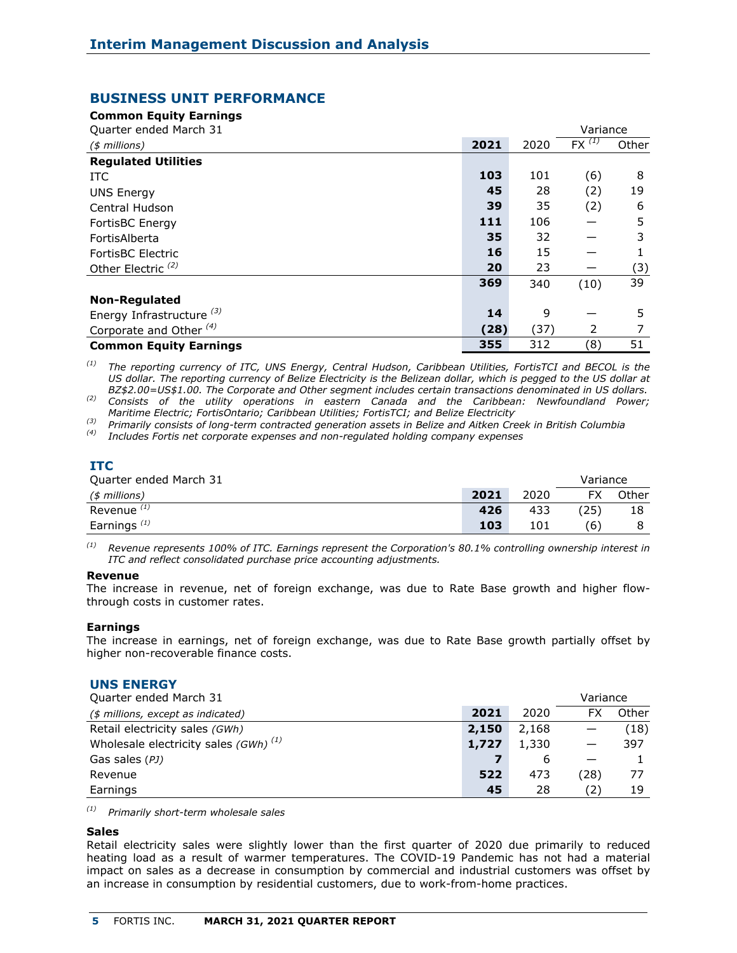## **BUSINESS UNIT PERFORMANCE**

**Common Equity Earnings**

| Quarter ended March 31               |      |      | Variance   |       |
|--------------------------------------|------|------|------------|-------|
| $($$ millions)                       | 2021 | 2020 | $FX^{(1)}$ | Other |
| <b>Regulated Utilities</b>           |      |      |            |       |
| ITC.                                 | 103  | 101  | (6)        | 8     |
| <b>UNS Energy</b>                    | 45   | 28   | (2)        | 19    |
| Central Hudson                       | 39   | 35   | (2)        | 6     |
| FortisBC Energy                      | 111  | 106  |            | 5     |
| FortisAlberta                        | 35   | 32   |            | 3     |
| <b>FortisBC Electric</b>             | 16   | 15   |            |       |
| Other Electric <sup>(2)</sup>        | 20   | 23   |            | (3)   |
|                                      | 369  | 340  | (10)       | 39    |
| <b>Non-Regulated</b>                 |      |      |            |       |
| Energy Infrastructure <sup>(3)</sup> | 14   | 9    |            | 5.    |
| Corporate and Other <sup>(4)</sup>   | (28) | (37) | 2          |       |
| <b>Common Equity Earnings</b>        | 355  | 312  | (8)        | 51    |

*(1) The reporting currency of ITC, UNS Energy, Central Hudson, Caribbean Utilities, FortisTCI and BECOL is the*  US dollar. The reporting currency of Belize Electricity is the Belizean dollar, which is pegged to the US dollar at *BZ\$2.00=US\$1.00. The Corporate and Other segment includes certain transactions denominated in US dollars.*

*(2) Consists of the utility operations in eastern Canada and the Caribbean: Newfoundland Power; Maritime Electric; FortisOntario; Caribbean Utilities; FortisTCI; and Belize Electricity.*

*(3) Primarily consists of long-term contracted generation assets in Belize and Aitken Creek in British Columbia*

*(4) Includes Fortis net corporate expenses and non-regulated holding company expenses*

# **ITC**

| Quarter ended March 31 |      |      | Variance       |       |
|------------------------|------|------|----------------|-------|
| $(*)$ millions)        | 2021 | 2020 |                | Other |
| Revenue <sup>(1)</sup> | 426  | 433  | $^{\prime}25)$ |       |
| Earnings $(1)$         | 103  | 101  | ΄6)            |       |

*(1) Revenue represents 100% of ITC. Earnings represent the Corporation's 80.1% controlling ownership interest in ITC and reflect consolidated purchase price accounting adjustments.*

### **Revenue**

The increase in revenue, net of foreign exchange, was due to Rate Base growth and higher flowthrough costs in customer rates.

### **Earnings**

The increase in earnings, net of foreign exchange, was due to Rate Base growth partially offset by higher non-recoverable finance costs.

### **UNS ENERGY**

| Quarter ended March 31                    |       |       | Variance |       |
|-------------------------------------------|-------|-------|----------|-------|
| (\$ millions, except as indicated)        | 2021  | 2020  | FX       | Other |
| Retail electricity sales (GWh)            | 2,150 | 2,168 |          | (18)  |
| Wholesale electricity sales $(GWh)^{(1)}$ | 1,727 | 1,330 |          | 397   |
| Gas sales (PJ)                            |       | 6     |          |       |
| Revenue                                   | 522   | 473   | (28)     | 77    |
| Earnings                                  | 45    | 28    | (2)      | 19    |

*(1) Primarily short-term wholesale sales*

### **Sales**

Retail electricity sales were slightly lower than the first quarter of 2020 due primarily to reduced heating load as a result of warmer temperatures. The COVID-19 Pandemic has not had a material impact on sales as a decrease in consumption by commercial and industrial customers was offset by an increase in consumption by residential customers, due to work-from-home practices.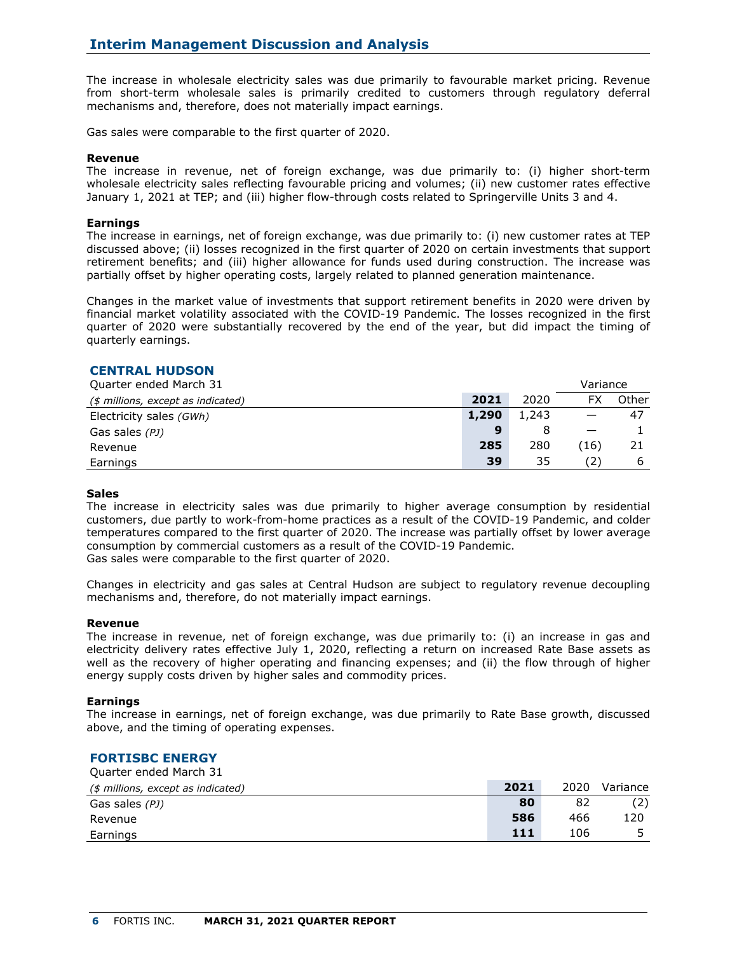The increase in wholesale electricity sales was due primarily to favourable market pricing. Revenue from short-term wholesale sales is primarily credited to customers through regulatory deferral mechanisms and, therefore, does not materially impact earnings.

Gas sales were comparable to the first quarter of 2020.

### **Revenue**

The increase in revenue, net of foreign exchange, was due primarily to: (i) higher short-term wholesale electricity sales reflecting favourable pricing and volumes; (ii) new customer rates effective January 1, 2021 at TEP; and (iii) higher flow-through costs related to Springerville Units 3 and 4.

### **Earnings**

The increase in earnings, net of foreign exchange, was due primarily to: (i) new customer rates at TEP discussed above; (ii) losses recognized in the first quarter of 2020 on certain investments that support retirement benefits; and (iii) higher allowance for funds used during construction. The increase was partially offset by higher operating costs, largely related to planned generation maintenance.

Changes in the market value of investments that support retirement benefits in 2020 were driven by financial market volatility associated with the COVID-19 Pandemic. The losses recognized in the first quarter of 2020 were substantially recovered by the end of the year, but did impact the timing of quarterly earnings.

## **CENTRAL HUDSON**

| Quarter ended March 31             |       |       | Variance |       |
|------------------------------------|-------|-------|----------|-------|
| (\$ millions, except as indicated) | 2021  | 2020  | FX       | Other |
| Electricity sales (GWh)            | 1,290 | 1,243 |          | -47   |
| Gas sales (PJ)                     | 9     |       |          |       |
| Revenue                            | 285   | 280   | (16)     | 21    |
| Earnings                           | 39    | 35    | (2)      |       |

### **Sales**

The increase in electricity sales was due primarily to higher average consumption by residential customers, due partly to work-from-home practices as a result of the COVID-19 Pandemic, and colder temperatures compared to the first quarter of 2020. The increase was partially offset by lower average consumption by commercial customers as a result of the COVID-19 Pandemic. Gas sales were comparable to the first quarter of 2020.

Changes in electricity and gas sales at Central Hudson are subject to regulatory revenue decoupling mechanisms and, therefore, do not materially impact earnings.

### **Revenue**

The increase in revenue, net of foreign exchange, was due primarily to: (i) an increase in gas and electricity delivery rates effective July 1, 2020, reflecting a return on increased Rate Base assets as well as the recovery of higher operating and financing expenses; and (ii) the flow through of higher energy supply costs driven by higher sales and commodity prices.

### **Earnings**

The increase in earnings, net of foreign exchange, was due primarily to Rate Base growth, discussed above, and the timing of operating expenses.

#### **FORTISBC ENERGY** Quarter ended March 31

| Quarter emueu march JI             |      |      |          |
|------------------------------------|------|------|----------|
| (\$ millions, except as indicated) | 2021 | 2020 | Variance |
| Gas sales (PJ)                     | 80   | 82   |          |
| Revenue                            | 586  | 466  | 120      |
| Earnings                           | 111  | 106  |          |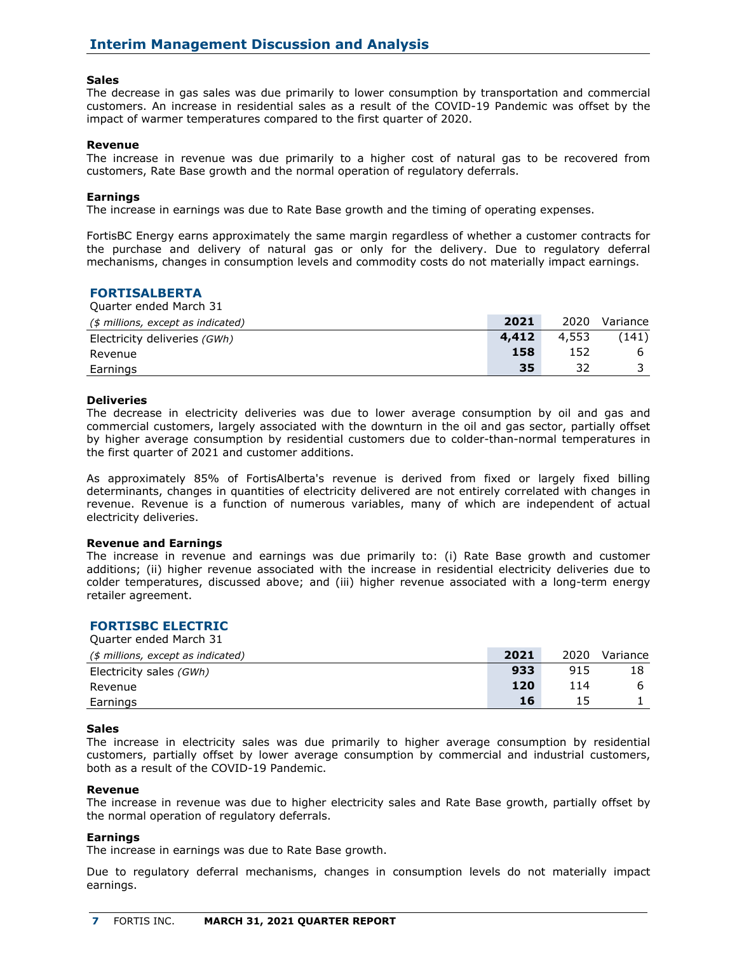### **Sales**

The decrease in gas sales was due primarily to lower consumption by transportation and commercial customers. An increase in residential sales as a result of the COVID-19 Pandemic was offset by the impact of warmer temperatures compared to the first quarter of 2020.

#### **Revenue**

The increase in revenue was due primarily to a higher cost of natural gas to be recovered from customers, Rate Base growth and the normal operation of regulatory deferrals.

#### **Earnings**

The increase in earnings was due to Rate Base growth and the timing of operating expenses.

FortisBC Energy earns approximately the same margin regardless of whether a customer contracts for the purchase and delivery of natural gas or only for the delivery. Due to regulatory deferral mechanisms, changes in consumption levels and commodity costs do not materially impact earnings.

## **FORTISALBERTA**

Quarter ended March 31 *(\$ millions, except as indicated)* **2021** 2020 Variance Electricity deliveries *(GWh)* **4,412** 4,553 (141) Revenue **158** 152 6 Earnings **35** 32 3

#### **Deliveries**

The decrease in electricity deliveries was due to lower average consumption by oil and gas and commercial customers, largely associated with the downturn in the oil and gas sector, partially offset by higher average consumption by residential customers due to colder-than-normal temperatures in the first quarter of 2021 and customer additions.

As approximately 85% of FortisAlberta's revenue is derived from fixed or largely fixed billing determinants, changes in quantities of electricity delivered are not entirely correlated with changes in revenue. Revenue is a function of numerous variables, many of which are independent of actual electricity deliveries.

#### **Revenue and Earnings**

The increase in revenue and earnings was due primarily to: (i) Rate Base growth and customer additions; (ii) higher revenue associated with the increase in residential electricity deliveries due to colder temperatures, discussed above; and (iii) higher revenue associated with a long-term energy retailer agreement.

### **FORTISBC ELECTRIC**

Quarter ended March 31

| (\$ millions, except as indicated) | 2021 | 2020 | Variance |
|------------------------------------|------|------|----------|
| Electricity sales (GWh)            | 933  | 915  |          |
| Revenue                            | 120  | 114  | b        |
| Earnings                           | 16   |      |          |

#### **Sales**

The increase in electricity sales was due primarily to higher average consumption by residential customers, partially offset by lower average consumption by commercial and industrial customers, both as a result of the COVID-19 Pandemic.

#### **Revenue**

The increase in revenue was due to higher electricity sales and Rate Base growth, partially offset by the normal operation of regulatory deferrals.

#### **Earnings**

The increase in earnings was due to Rate Base growth.

Due to regulatory deferral mechanisms, changes in consumption levels do not materially impact earnings.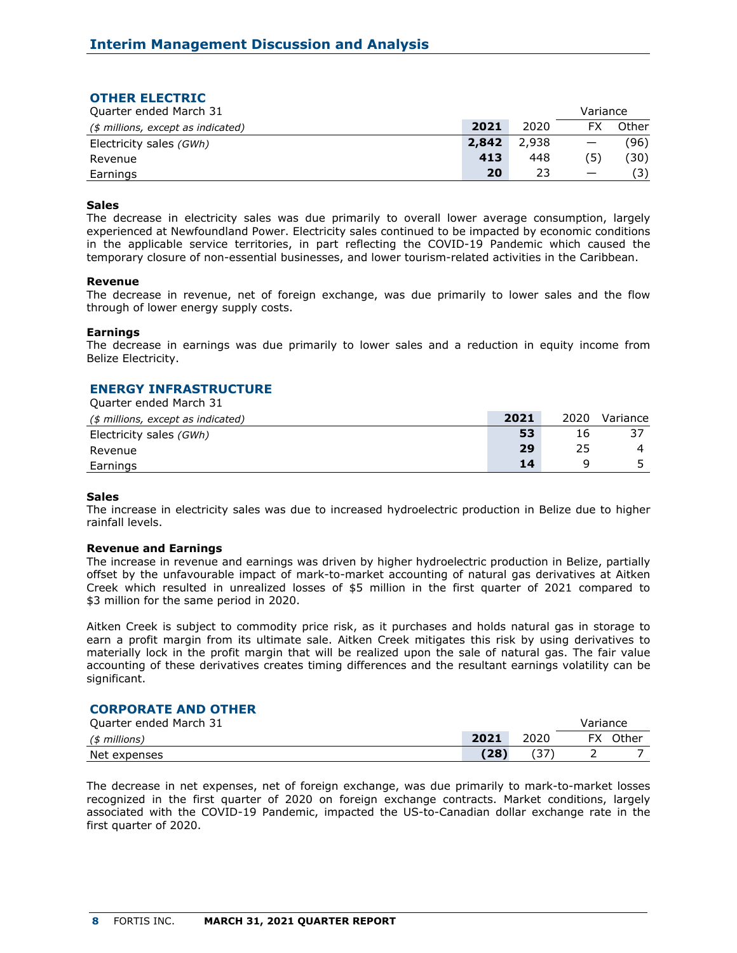| <b>OTHER ELECTRIC</b>              |       |       |          |       |
|------------------------------------|-------|-------|----------|-------|
| Quarter ended March 31             |       |       | Variance |       |
| (\$ millions, except as indicated) | 2021  | 2020  | FX       | Other |
| Electricity sales (GWh)            | 2,842 | 2,938 |          | (96)  |
| Revenue                            | 413   | 448   | (5       | (30)  |
| Earnings                           | 20    | 23    |          |       |

### **Sales**

The decrease in electricity sales was due primarily to overall lower average consumption, largely experienced at Newfoundland Power. Electricity sales continued to be impacted by economic conditions in the applicable service territories, in part reflecting the COVID-19 Pandemic which caused the temporary closure of non-essential businesses, and lower tourism-related activities in the Caribbean.

#### **Revenue**

The decrease in revenue, net of foreign exchange, was due primarily to lower sales and the flow through of lower energy supply costs.

#### **Earnings**

The decrease in earnings was due primarily to lower sales and a reduction in equity income from Belize Electricity.

### **ENERGY INFRASTRUCTURE**

Quarter ended March 31 *(\$ millions, except as indicated)* **2021** 2020 Variance Electricity sales *(GWh)* **53** 16 37 Revenue **29** 25 4 Earnings **14** 9 5

#### **Sales**

The increase in electricity sales was due to increased hydroelectric production in Belize due to higher rainfall levels.

#### **Revenue and Earnings**

The increase in revenue and earnings was driven by higher hydroelectric production in Belize, partially offset by the unfavourable impact of mark-to-market accounting of natural gas derivatives at Aitken Creek which resulted in unrealized losses of \$5 million in the first quarter of 2021 compared to \$3 million for the same period in 2020.

Aitken Creek is subject to commodity price risk, as it purchases and holds natural gas in storage to earn a profit margin from its ultimate sale. Aitken Creek mitigates this risk by using derivatives to materially lock in the profit margin that will be realized upon the sale of natural gas. The fair value accounting of these derivatives creates timing differences and the resultant earnings volatility can be significant.

## **CORPORATE AND OTHER**

| Quarter ended March 31 |      |      | Variance |       |
|------------------------|------|------|----------|-------|
| (\$ millions)          | 2021 | 2020 | FX       | Other |
| Net expenses           | (28) |      |          |       |

The decrease in net expenses, net of foreign exchange, was due primarily to mark-to-market losses recognized in the first quarter of 2020 on foreign exchange contracts. Market conditions, largely associated with the COVID-19 Pandemic, impacted the US-to-Canadian dollar exchange rate in the first quarter of 2020.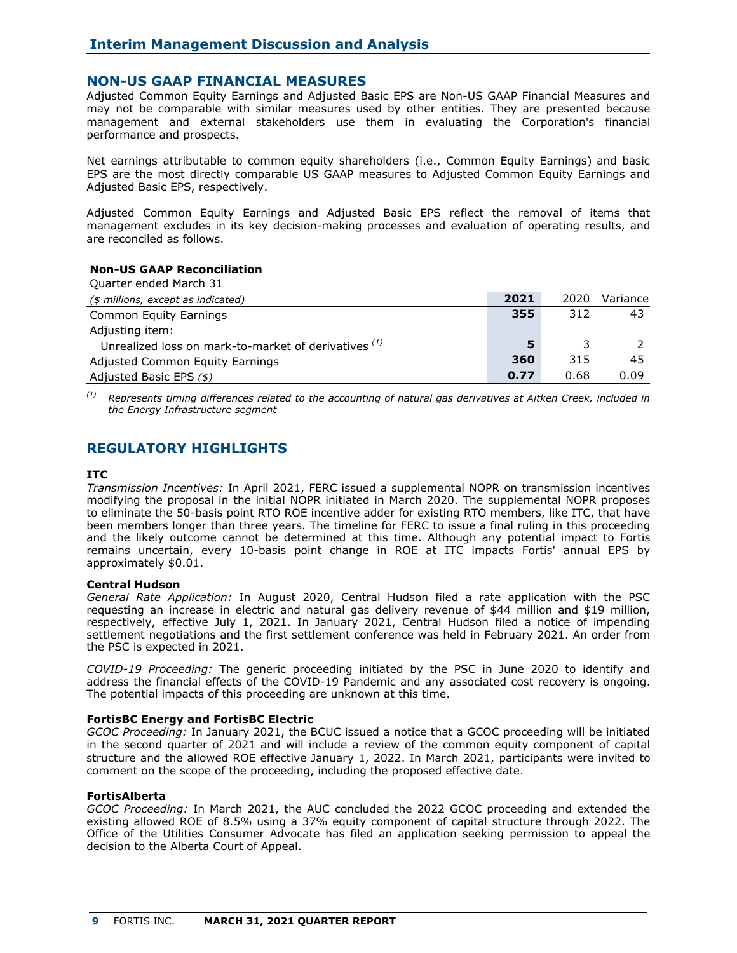## **NON-US GAAP FINANCIAL MEASURES**

Adjusted Common Equity Earnings and Adjusted Basic EPS are Non-US GAAP Financial Measures and may not be comparable with similar measures used by other entities. They are presented because management and external stakeholders use them in evaluating the Corporation's financial performance and prospects.

Net earnings attributable to common equity shareholders (i.e., Common Equity Earnings) and basic EPS are the most directly comparable US GAAP measures to Adjusted Common Equity Earnings and Adjusted Basic EPS, respectively.

Adjusted Common Equity Earnings and Adjusted Basic EPS reflect the removal of items that management excludes in its key decision-making processes and evaluation of operating results, and are reconciled as follows.

## **Non-US GAAP Reconciliation**

| Ouarter ended March 31                               |      |      |          |
|------------------------------------------------------|------|------|----------|
| (\$ millions, except as indicated)                   | 2021 | 2020 | Variance |
| Common Equity Earnings                               | 355  | 312  | 43       |
| Adjusting item:                                      |      |      |          |
| Unrealized loss on mark-to-market of derivatives (1) | 5    |      |          |
| Adjusted Common Equity Earnings                      | 360  | 315  | 45       |
| Adjusted Basic EPS (\$)                              | 0.77 | 0.68 | 0.09     |

*(1) Represents timing differences related to the accounting of natural gas derivatives at Aitken Creek, included in the Energy Infrastructure segment*

## **REGULATORY HIGHLIGHTS**

### **ITC**

*Transmission Incentives:* In April 2021, FERC issued a supplemental NOPR on transmission incentives modifying the proposal in the initial NOPR initiated in March 2020. The supplemental NOPR proposes to eliminate the 50-basis point RTO ROE incentive adder for existing RTO members, like ITC, that have been members longer than three years. The timeline for FERC to issue a final ruling in this proceeding and the likely outcome cannot be determined at this time. Although any potential impact to Fortis remains uncertain, every 10-basis point change in ROE at ITC impacts Fortis' annual EPS by approximately \$0.01.

### **Central Hudson**

*General Rate Application:* In August 2020, Central Hudson filed a rate application with the PSC requesting an increase in electric and natural gas delivery revenue of \$44 million and \$19 million, respectively, effective July 1, 2021. In January 2021, Central Hudson filed a notice of impending settlement negotiations and the first settlement conference was held in February 2021. An order from the PSC is expected in 2021.

*COVID-19 Proceeding:* The generic proceeding initiated by the PSC in June 2020 to identify and address the financial effects of the COVID-19 Pandemic and any associated cost recovery is ongoing. The potential impacts of this proceeding are unknown at this time.

### **FortisBC Energy and FortisBC Electric**

*GCOC Proceeding:* In January 2021, the BCUC issued a notice that a GCOC proceeding will be initiated in the second quarter of 2021 and will include a review of the common equity component of capital structure and the allowed ROE effective January 1, 2022. In March 2021, participants were invited to comment on the scope of the proceeding, including the proposed effective date.

### **FortisAlberta**

*GCOC Proceeding:* In March 2021, the AUC concluded the 2022 GCOC proceeding and extended the existing allowed ROE of 8.5% using a 37% equity component of capital structure through 2022. The Office of the Utilities Consumer Advocate has filed an application seeking permission to appeal the decision to the Alberta Court of Appeal.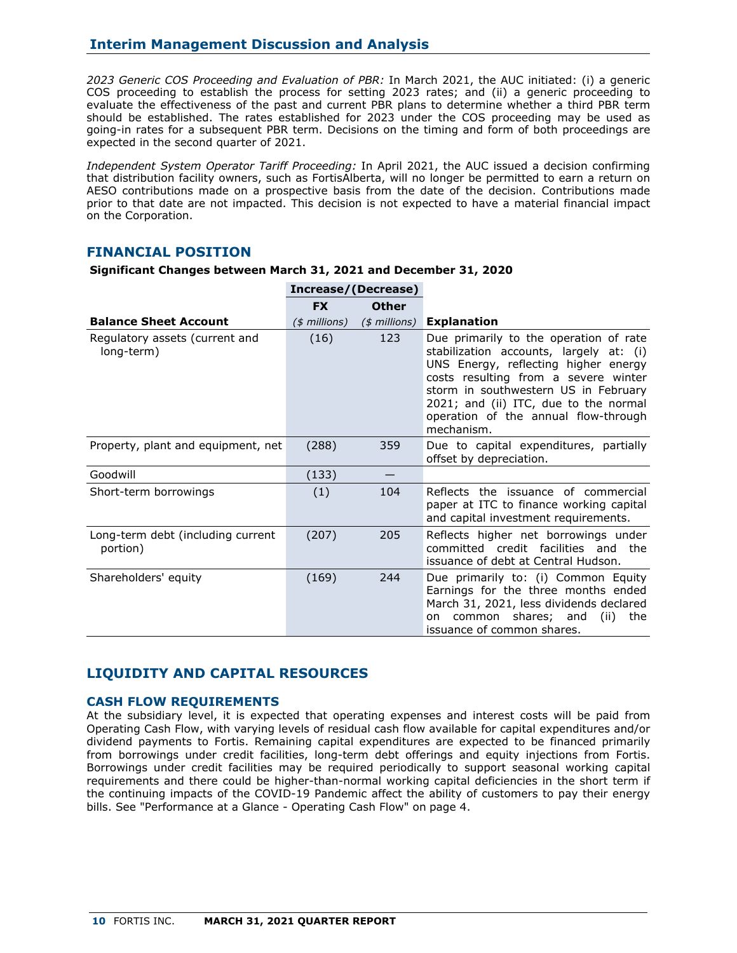*2023 Generic COS Proceeding and Evaluation of PBR:* In March 2021, the AUC initiated: (i) a generic COS proceeding to establish the process for setting 2023 rates; and (ii) a generic proceeding to evaluate the effectiveness of the past and current PBR plans to determine whether a third PBR term should be established. The rates established for 2023 under the COS proceeding may be used as going-in rates for a subsequent PBR term. Decisions on the timing and form of both proceedings are expected in the second quarter of 2021.

*Independent System Operator Tariff Proceeding:* In April 2021, the AUC issued a decision confirming that distribution facility owners, such as FortisAlberta, will no longer be permitted to earn a return on AESO contributions made on a prospective basis from the date of the decision. Contributions made prior to that date are not impacted. This decision is not expected to have a material financial impact on the Corporation.

## **FINANCIAL POSITION**

|                                               |                | Increase/(Decrease) |                                                                                                                                                                                                                                                                                                          |
|-----------------------------------------------|----------------|---------------------|----------------------------------------------------------------------------------------------------------------------------------------------------------------------------------------------------------------------------------------------------------------------------------------------------------|
|                                               | <b>FX</b>      | <b>Other</b>        |                                                                                                                                                                                                                                                                                                          |
| <b>Balance Sheet Account</b>                  | $($$ millions) | $($$ millions)      | <b>Explanation</b>                                                                                                                                                                                                                                                                                       |
| Regulatory assets (current and<br>long-term)  | (16)           | 123                 | Due primarily to the operation of rate<br>stabilization accounts, largely at: (i)<br>UNS Energy, reflecting higher energy<br>costs resulting from a severe winter<br>storm in southwestern US in February<br>2021; and (ii) ITC, due to the normal<br>operation of the annual flow-through<br>mechanism. |
| Property, plant and equipment, net            | (288)          | 359                 | Due to capital expenditures, partially<br>offset by depreciation.                                                                                                                                                                                                                                        |
| Goodwill                                      | (133)          |                     |                                                                                                                                                                                                                                                                                                          |
| Short-term borrowings                         | (1)            | 104                 | Reflects the issuance of commercial<br>paper at ITC to finance working capital<br>and capital investment requirements.                                                                                                                                                                                   |
| Long-term debt (including current<br>portion) | (207)          | 205                 | Reflects higher net borrowings under<br>committed credit facilities and<br>the<br>issuance of debt at Central Hudson.                                                                                                                                                                                    |
| Shareholders' equity                          | (169)          | 244                 | Due primarily to: (i) Common Equity<br>Earnings for the three months ended<br>March 31, 2021, less dividends declared<br>common shares; and<br>(ii)<br>the<br>on<br>issuance of common shares.                                                                                                           |

| Significant Changes between March 31, 2021 and December 31, 2020 |  |  |  |  |
|------------------------------------------------------------------|--|--|--|--|
|                                                                  |  |  |  |  |

## **LIQUIDITY AND CAPITAL RESOURCES**

## **CASH FLOW REQUIREMENTS**

At the subsidiary level, it is expected that operating expenses and interest costs will be paid from Operating Cash Flow, with varying levels of residual cash flow available for capital expenditures and/or dividend payments to Fortis. Remaining capital expenditures are expected to be financed primarily from borrowings under credit facilities, long-term debt offerings and equity injections from Fortis. Borrowings under credit facilities may be required periodically to support seasonal working capital requirements and there could be higher-than-normal working capital deficiencies in the short term if the continuing impacts of the COVID-19 Pandemic affect the ability of customers to pay their energy bills. See "Performance at a Glance - Operating Cash Flow" on page 4.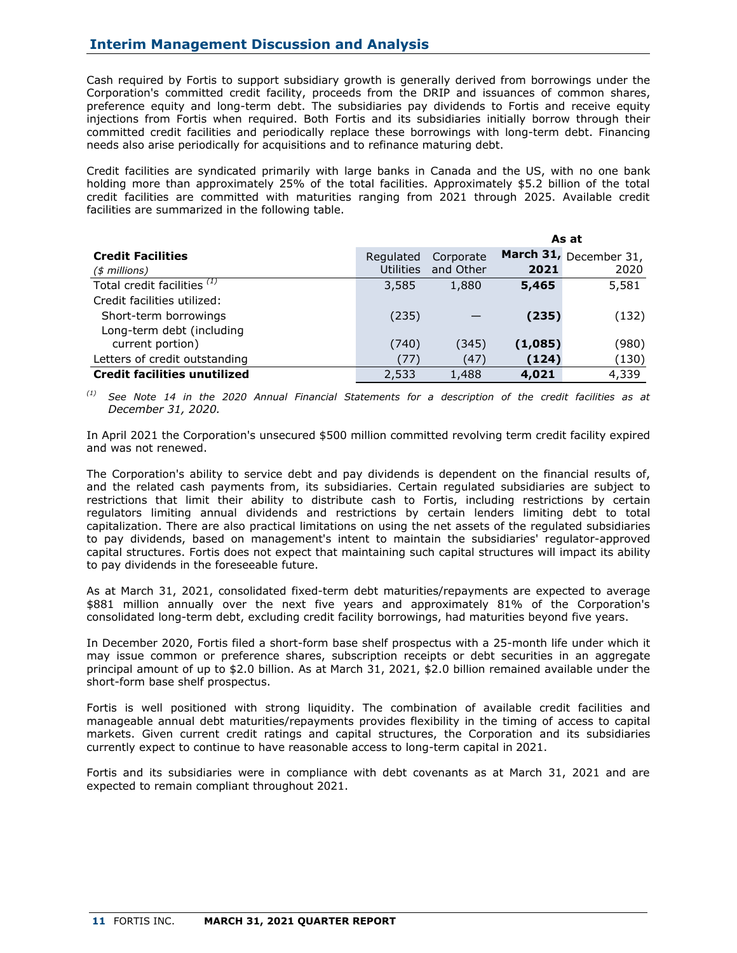Cash required by Fortis to support subsidiary growth is generally derived from borrowings under the Corporation's committed credit facility, proceeds from the DRIP and issuances of common shares, preference equity and long-term debt. The subsidiaries pay dividends to Fortis and receive equity injections from Fortis when required. Both Fortis and its subsidiaries initially borrow through their committed credit facilities and periodically replace these borrowings with long-term debt. Financing needs also arise periodically for acquisitions and to refinance maturing debt.

Credit facilities are syndicated primarily with large banks in Canada and the US, with no one bank holding more than approximately 25% of the total facilities. Approximately \$5.2 billion of the total credit facilities are committed with maturities ranging from 2021 through 2025. Available credit facilities are summarized in the following table.

|                                        |                  |           |         | As at                  |
|----------------------------------------|------------------|-----------|---------|------------------------|
| <b>Credit Facilities</b>               | Regulated        | Corporate |         | March 31, December 31, |
| $($$ millions)                         | <b>Utilities</b> | and Other | 2021    | 2020                   |
| Total credit facilities <sup>(1)</sup> | 3,585            | 1,880     | 5,465   | 5,581                  |
| Credit facilities utilized:            |                  |           |         |                        |
| Short-term borrowings                  | (235)            |           | (235)   | (132)                  |
| Long-term debt (including              |                  |           |         |                        |
| current portion)                       | (740)            | (345)     | (1,085) | (980)                  |
| Letters of credit outstanding          | (77)             | (47)      | (124)   | (130)                  |
| <b>Credit facilities unutilized</b>    | 2,533            | 1,488     | 4,021   | 4,339                  |

*(1) See Note 14 in the 2020 Annual Financial Statements for a description of the credit facilities as at December 31, 2020.*

In April 2021 the Corporation's unsecured \$500 million committed revolving term credit facility expired and was not renewed.

The Corporation's ability to service debt and pay dividends is dependent on the financial results of, and the related cash payments from, its subsidiaries. Certain regulated subsidiaries are subject to restrictions that limit their ability to distribute cash to Fortis, including restrictions by certain regulators limiting annual dividends and restrictions by certain lenders limiting debt to total capitalization. There are also practical limitations on using the net assets of the regulated subsidiaries to pay dividends, based on management's intent to maintain the subsidiaries' regulator-approved capital structures. Fortis does not expect that maintaining such capital structures will impact its ability to pay dividends in the foreseeable future.

As at March 31, 2021, consolidated fixed-term debt maturities/repayments are expected to average \$881 million annually over the next five years and approximately 81% of the Corporation's consolidated long-term debt, excluding credit facility borrowings, had maturities beyond five years.

In December 2020, Fortis filed a short-form base shelf prospectus with a 25-month life under which it may issue common or preference shares, subscription receipts or debt securities in an aggregate principal amount of up to \$2.0 billion. As at March 31, 2021, \$2.0 billion remained available under the short-form base shelf prospectus.

Fortis is well positioned with strong liquidity. The combination of available credit facilities and manageable annual debt maturities/repayments provides flexibility in the timing of access to capital markets. Given current credit ratings and capital structures, the Corporation and its subsidiaries currently expect to continue to have reasonable access to long-term capital in 2021.

Fortis and its subsidiaries were in compliance with debt covenants as at March 31, 2021 and are expected to remain compliant throughout 2021.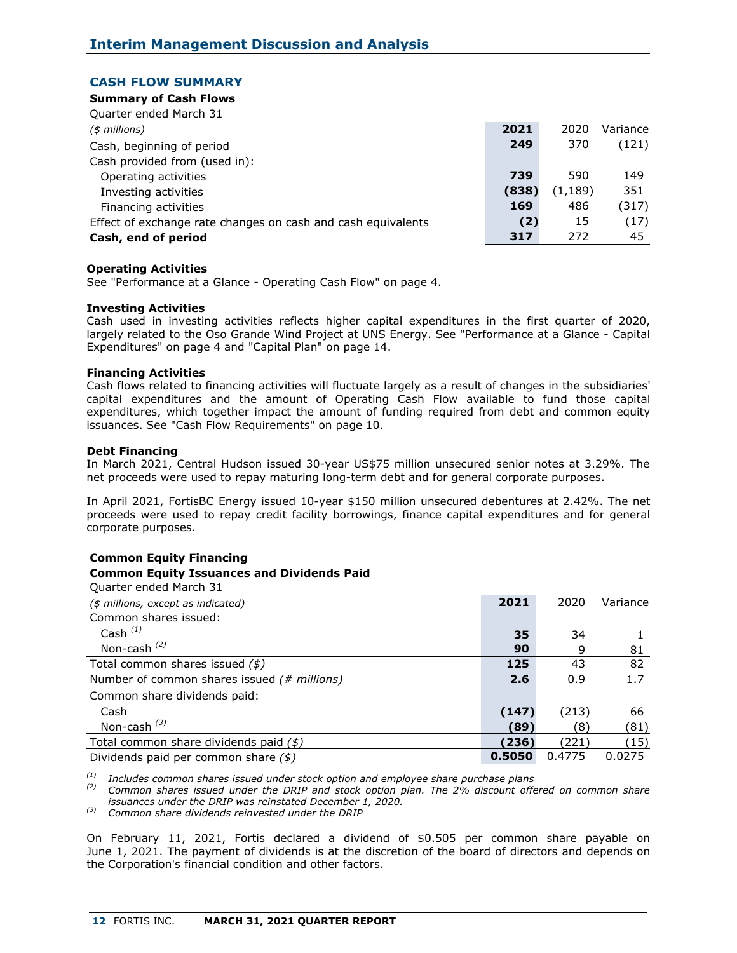## **CASH FLOW SUMMARY**

## **Summary of Cash Flows**

| Quarter ended March 31                                       |       |          |          |
|--------------------------------------------------------------|-------|----------|----------|
| $($$ millions)                                               | 2021  | 2020     | Variance |
| Cash, beginning of period                                    | 249   | 370      | (121)    |
| Cash provided from (used in):                                |       |          |          |
| Operating activities                                         | 739   | 590      | 149      |
| Investing activities                                         | (838) | (1, 189) | 351      |
| Financing activities                                         | 169   | 486      | (317)    |
| Effect of exchange rate changes on cash and cash equivalents | (2)   | 15       | (17)     |
| Cash, end of period                                          | 317   | 272      | 45       |

## **Operating Activities**

See "Performance at a Glance - Operating Cash Flow" on page 4.

## **Investing Activities**

Cash used in investing activities reflects higher capital expenditures in the first quarter of 2020, largely related to the Oso Grande Wind Project at UNS Energy. See "Performance at a Glance - Capital Expenditures" on page 4 and "Capital Plan" on page 14.

## **Financing Activities**

Cash flows related to financing activities will fluctuate largely as a result of changes in the subsidiaries' capital expenditures and the amount of Operating Cash Flow available to fund those capital expenditures, which together impact the amount of funding required from debt and common equity issuances. See "Cash Flow Requirements" on page 10.

## **Debt Financing**

In March 2021, Central Hudson issued 30-year US\$75 million unsecured senior notes at 3.29%. The net proceeds were used to repay maturing long-term debt and for general corporate purposes.

In April 2021, FortisBC Energy issued 10-year \$150 million unsecured debentures at 2.42%. The net proceeds were used to repay credit facility borrowings, finance capital expenditures and for general corporate purposes.

### **Common Equity Financing Common Equity Issuances and Dividends Paid**

| Quarter ended March 31                            |        |        |          |
|---------------------------------------------------|--------|--------|----------|
| (\$ millions, except as indicated)                | 2021   | 2020   | Variance |
| Common shares issued:                             |        |        |          |
| Cash $(1)$                                        | 35     | 34     |          |
| Non-cash $(2)$                                    | 90     | 9      | 81       |
| Total common shares issued $($                    | 125    | 43     | 82       |
| Number of common shares issued (# millions)       | 2.6    | 0.9    | 1.7      |
| Common share dividends paid:                      |        |        |          |
| Cash                                              | (147)  | (213)  | 66       |
| Non-cash $^{(3)}$                                 | (89)   | (8)    | (81)     |
| Total common share dividends paid $(\frac{2}{3})$ | (236)  | (221)  | (15)     |
| Dividends paid per common share $(\frac{2}{3})$   | 0.5050 | 0.4775 | 0.0275   |

*(1) Includes common shares issued under stock option and employee share purchase plans*

*(2) Common shares issued under the DRIP and stock option plan. The 2% discount offered on common share issuances under the DRIP was reinstated December 1, 2020.*

*(3) Common share dividends reinvested under the DRIP*

On February 11, 2021, Fortis declared a dividend of \$0.505 per common share payable on June 1, 2021. The payment of dividends is at the discretion of the board of directors and depends on the Corporation's financial condition and other factors.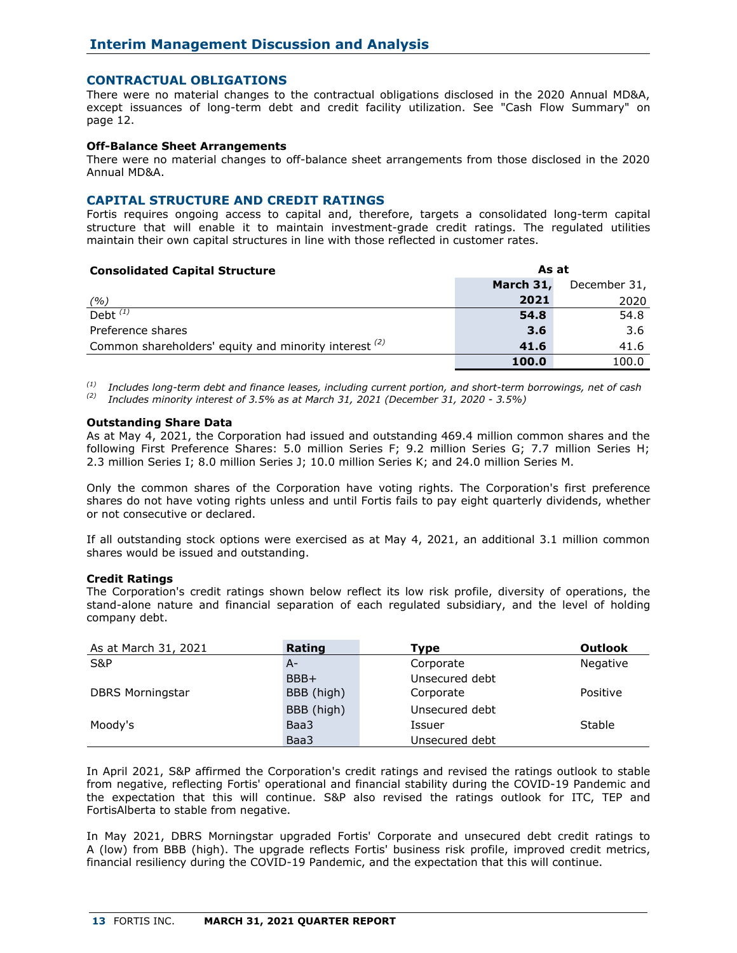## **CONTRACTUAL OBLIGATIONS**

There were no material changes to the contractual obligations disclosed in the 2020 Annual MD&A, except issuances of long-term debt and credit facility utilization. See "Cash Flow Summary" on page 12.

## **Off-Balance Sheet Arrangements**

There were no material changes to off-balance sheet arrangements from those disclosed in the 2020 Annual MD&A.

### **CAPITAL STRUCTURE AND CREDIT RATINGS**

Fortis requires ongoing access to capital and, therefore, targets a consolidated long-term capital structure that will enable it to maintain investment-grade credit ratings. The regulated utilities maintain their own capital structures in line with those reflected in customer rates.

## **Consolidated Capital Structure As at March 31,** December 31, *(%)* **2021** 2020 Debt *(1)* **54.8** 54.8 Preference shares 3.6 **3.6** 3.6 **3.6** 3.6 **3.6** 3.6 **3.6** 3.6 **3.6** Common shareholders' equity and minority interest <sup>(2)</sup> 41.6 41.6 41.6  **100.0** 100.0

*(1) Includes long-term debt and finance leases, including current portion, and short-term borrowings, net of cash (2) Includes minority interest of 3.5% as at March 31, 2021 (December 31, 2020 - 3.5%)*

#### **Outstanding Share Data**

As at May 4, 2021, the Corporation had issued and outstanding 469.4 million common shares and the following First Preference Shares: 5.0 million Series F; 9.2 million Series G; 7.7 million Series H; 2.3 million Series I; 8.0 million Series J; 10.0 million Series K; and 24.0 million Series M.

Only the common shares of the Corporation have voting rights. The Corporation's first preference shares do not have voting rights unless and until Fortis fails to pay eight quarterly dividends, whether or not consecutive or declared.

If all outstanding stock options were exercised as at May 4, 2021, an additional 3.1 million common shares would be issued and outstanding.

### **Credit Ratings**

The Corporation's credit ratings shown below reflect its low risk profile, diversity of operations, the stand-alone nature and financial separation of each regulated subsidiary, and the level of holding company debt.

| As at March 31, 2021    | Rating     | <b>Type</b>    | <b>Outlook</b> |
|-------------------------|------------|----------------|----------------|
| S&P                     | A-         | Corporate      | Negative       |
|                         | BBB+       | Unsecured debt |                |
| <b>DBRS Morningstar</b> | BBB (high) | Corporate      | Positive       |
|                         | BBB (high) | Unsecured debt |                |
| Moody's                 | Baa3       | Issuer         | Stable         |
|                         | Baa3       | Unsecured debt |                |

In April 2021, S&P affirmed the Corporation's credit ratings and revised the ratings outlook to stable from negative, reflecting Fortis' operational and financial stability during the COVID-19 Pandemic and the expectation that this will continue. S&P also revised the ratings outlook for ITC, TEP and FortisAlberta to stable from negative.

In May 2021, DBRS Morningstar upgraded Fortis' Corporate and unsecured debt credit ratings to A (low) from BBB (high). The upgrade reflects Fortis' business risk profile, improved credit metrics, financial resiliency during the COVID-19 Pandemic, and the expectation that this will continue.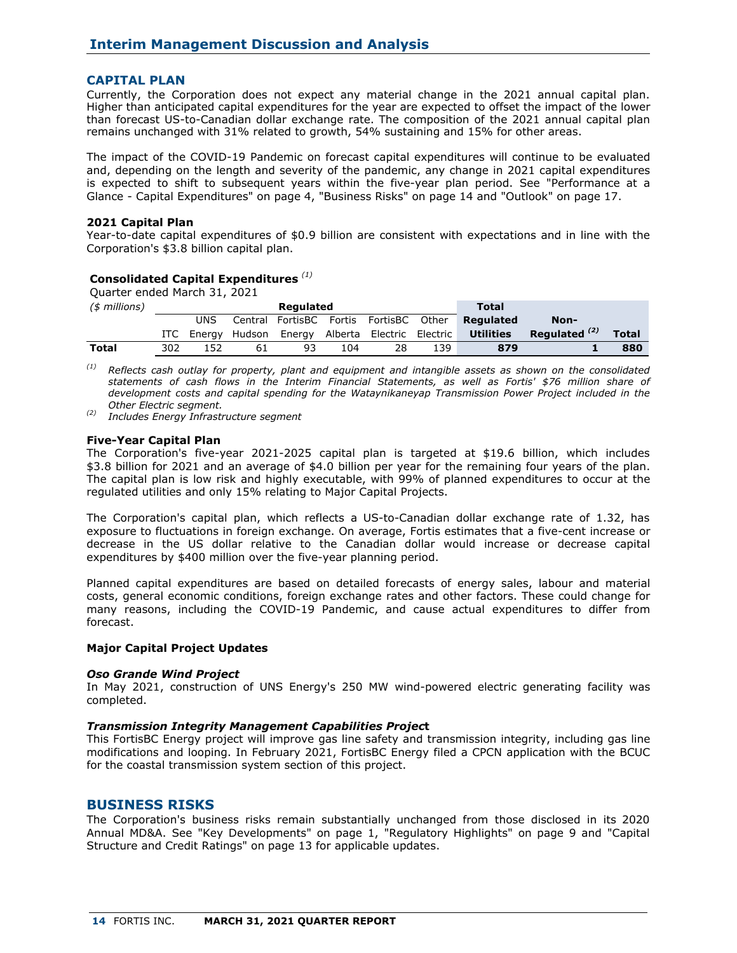## **CAPITAL PLAN**

Currently, the Corporation does not expect any material change in the 2021 annual capital plan. Higher than anticipated capital expenditures for the year are expected to offset the impact of the lower than forecast US-to-Canadian dollar exchange rate. The composition of the 2021 annual capital plan remains unchanged with 31% related to growth, 54% sustaining and 15% for other areas.

The impact of the COVID-19 Pandemic on forecast capital expenditures will continue to be evaluated and, depending on the length and severity of the pandemic, any change in 2021 capital expenditures is expected to shift to subsequent years within the five-year plan period. See "Performance at a Glance - Capital Expenditures" on page 4, "Business Risks" on page 14 and "Outlook" on page 17.

### **2021 Capital Plan**

Year-to-date capital expenditures of \$0.9 billion are consistent with expectations and in line with the Corporation's \$3.8 billion capital plan.

## **Consolidated Capital Expenditures** *(1)*

| Quarter ended March 31, 2021 |       |        |    |                         |     |                           |       |                  |                 |              |
|------------------------------|-------|--------|----|-------------------------|-----|---------------------------|-------|------------------|-----------------|--------------|
| $($$ millions)               |       |        |    | Regulated               |     |                           |       | <b>Total</b>     |                 |              |
|                              |       | UNS    |    | Central FortisBC Fortis |     | FortisBC                  | Other | Regulated        | Non-            |              |
|                              | ITC . | Enerav |    | Hudson Energy           |     | Alberta Electric Electric |       | <b>Utilities</b> | Regulated $(2)$ | <b>Total</b> |
| Total                        | 302   | 152    | 61 | 93                      | 104 | 28                        | 139   | 879              |                 | 880          |

*(1) Reflects cash outlay for property, plant and equipment and intangible assets as shown on the consolidated statements of cash flows in the Interim Financial Statements, as well as Fortis' \$76 million share of development costs and capital spending for the Wataynikaneyap Transmission Power Project included in the Other Electric segment.* 

*(2) Includes Energy Infrastructure segment* 

### **Five-Year Capital Plan**

The Corporation's five-year 2021-2025 capital plan is targeted at \$19.6 billion, which includes \$3.8 billion for 2021 and an average of \$4.0 billion per year for the remaining four years of the plan. The capital plan is low risk and highly executable, with 99% of planned expenditures to occur at the regulated utilities and only 15% relating to Major Capital Projects.

The Corporation's capital plan, which reflects a US-to-Canadian dollar exchange rate of 1.32, has exposure to fluctuations in foreign exchange. On average, Fortis estimates that a five-cent increase or decrease in the US dollar relative to the Canadian dollar would increase or decrease capital expenditures by \$400 million over the five-year planning period.

Planned capital expenditures are based on detailed forecasts of energy sales, labour and material costs, general economic conditions, foreign exchange rates and other factors. These could change for many reasons, including the COVID-19 Pandemic, and cause actual expenditures to differ from forecast.

## **Major Capital Project Updates**

#### *Oso Grande Wind Project*

In May 2021, construction of UNS Energy's 250 MW wind-powered electric generating facility was completed.

#### *Transmission Integrity Management Capabilities Projec***t**

This FortisBC Energy project will improve gas line safety and transmission integrity, including gas line modifications and looping. In February 2021, FortisBC Energy filed a CPCN application with the BCUC for the coastal transmission system section of this project.

### **BUSINESS RISKS**

The Corporation's business risks remain substantially unchanged from those disclosed in its 2020 Annual MD&A. See "Key Developments" on page 1, "Regulatory Highlights" on page 9 and "Capital Structure and Credit Ratings" on page 13 for applicable updates.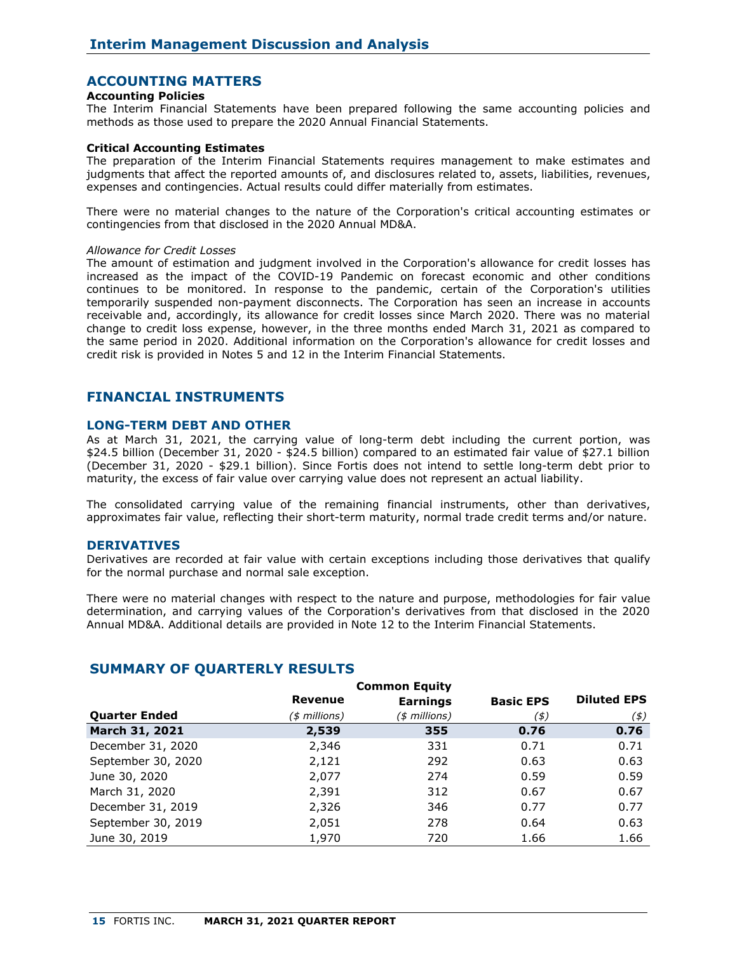## **ACCOUNTING MATTERS**

#### **Accounting Policies**

The Interim Financial Statements have been prepared following the same accounting policies and methods as those used to prepare the 2020 Annual Financial Statements.

#### **Critical Accounting Estimates**

The preparation of the Interim Financial Statements requires management to make estimates and judgments that affect the reported amounts of, and disclosures related to, assets, liabilities, revenues, expenses and contingencies. Actual results could differ materially from estimates.

There were no material changes to the nature of the Corporation's critical accounting estimates or contingencies from that disclosed in the 2020 Annual MD&A.

#### *Allowance for Credit Losses*

The amount of estimation and judgment involved in the Corporation's allowance for credit losses has increased as the impact of the COVID-19 Pandemic on forecast economic and other conditions continues to be monitored. In response to the pandemic, certain of the Corporation's utilities temporarily suspended non-payment disconnects. The Corporation has seen an increase in accounts receivable and, accordingly, its allowance for credit losses since March 2020. There was no material change to credit loss expense, however, in the three months ended March 31, 2021 as compared to the same period in 2020. Additional information on the Corporation's allowance for credit losses and credit risk is provided in Notes 5 and 12 in the Interim Financial Statements.

## **FINANCIAL INSTRUMENTS**

#### **LONG-TERM DEBT AND OTHER**

As at March 31, 2021, the carrying value of long-term debt including the current portion, was \$24.5 billion (December 31, 2020 - \$24.5 billion) compared to an estimated fair value of \$27.1 billion (December 31, 2020 - \$29.1 billion). Since Fortis does not intend to settle long-term debt prior to maturity, the excess of fair value over carrying value does not represent an actual liability.

The consolidated carrying value of the remaining financial instruments, other than derivatives, approximates fair value, reflecting their short-term maturity, normal trade credit terms and/or nature.

#### **DERIVATIVES**

Derivatives are recorded at fair value with certain exceptions including those derivatives that qualify for the normal purchase and normal sale exception.

There were no material changes with respect to the nature and purpose, methodologies for fair value determination, and carrying values of the Corporation's derivatives from that disclosed in the 2020 Annual MD&A. Additional details are provided in Note 12 to the Interim Financial Statements.

|                      |                | <b>Common Equity</b> |                  |                    |
|----------------------|----------------|----------------------|------------------|--------------------|
|                      | <b>Revenue</b> | <b>Earnings</b>      | <b>Basic EPS</b> | <b>Diluted EPS</b> |
| <b>Quarter Ended</b> | (\$ millions)  | (\$ millions)        | (\$)             | $($ \$)            |
| March 31, 2021       | 2,539          | 355                  | 0.76             | 0.76               |
| December 31, 2020    | 2,346          | 331                  | 0.71             | 0.71               |
| September 30, 2020   | 2,121          | 292                  | 0.63             | 0.63               |
| June 30, 2020        | 2,077          | 274                  | 0.59             | 0.59               |
| March 31, 2020       | 2,391          | 312                  | 0.67             | 0.67               |
| December 31, 2019    | 2,326          | 346                  | 0.77             | 0.77               |
| September 30, 2019   | 2,051          | 278                  | 0.64             | 0.63               |
| June 30, 2019        | 1,970          | 720                  | 1.66             | 1.66               |

## **SUMMARY OF QUARTERLY RESULTS**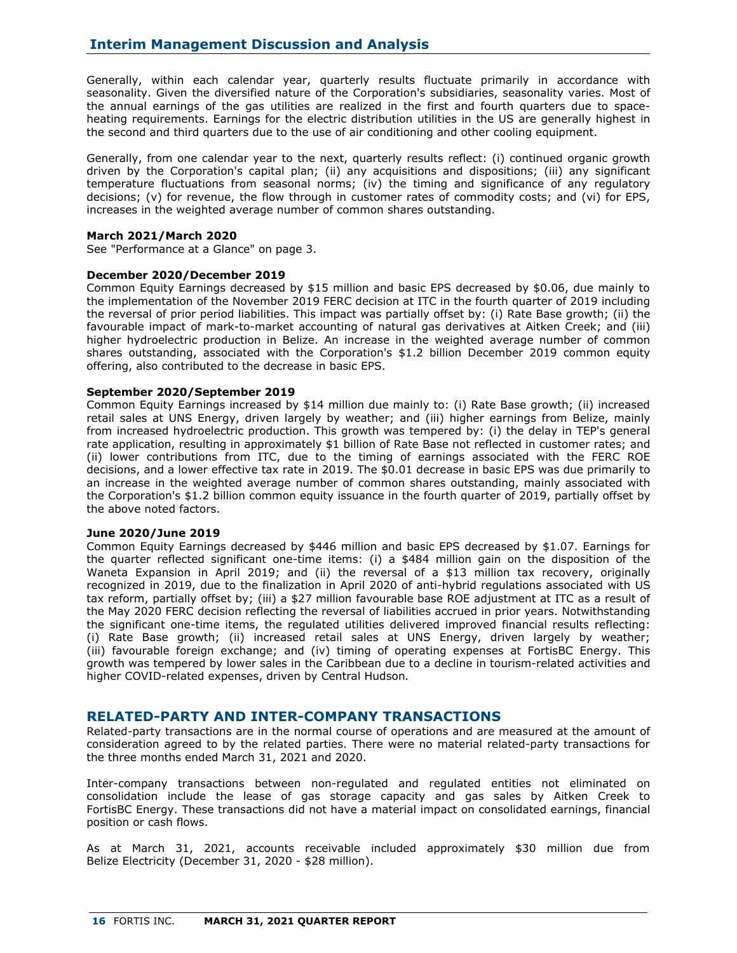Generally, within each calendar year, quarterly results fluctuate primarily in accordance with seasonality. Given the diversified nature of the Corporation's subsidiaries, seasonality varies. Most of the annual earnings of the gas utilities are realized in the first and fourth quarters due to spaceheating requirements. Earnings for the electric distribution utilities in the US are generally highest in the second and third quarters due to the use of air conditioning and other cooling equipment.

Generally, from one calendar year to the next, quarterly results reflect: (i) continued organic growth driven by the Corporation's capital plan; (ii) any acquisitions and dispositions; (iii) any significant temperature fluctuations from seasonal norms; (iv) the timing and significance of any regulatory decisions; (v) for revenue, the flow through in customer rates of commodity costs; and (vi) for EPS, increases in the weighted average number of common shares outstanding.

### **March 2021/March 2020**

See "Performance at a Glance" on page 3.

## **December 2020/December 2019**

Common Equity Earnings decreased by \$15 million and basic EPS decreased by \$0.06, due mainly to the implementation of the November 2019 FERC decision at ITC in the fourth quarter of 2019 including the reversal of prior period liabilities. This impact was partially offset by: (i) Rate Base growth; (ii) the favourable impact of mark-to-market accounting of natural gas derivatives at Aitken Creek; and (iii) higher hydroelectric production in Belize. An increase in the weighted average number of common shares outstanding, associated with the Corporation's \$1.2 billion December 2019 common equity offering, also contributed to the decrease in basic EPS.

## **September 2020/September 2019**

Common Equity Earnings increased by \$14 million due mainly to: (i) Rate Base growth; (ii) increased retail sales at UNS Energy, driven largely by weather; and (iii) higher earnings from Belize, mainly from increased hydroelectric production. This growth was tempered by: (i) the delay in TEP's general rate application, resulting in approximately \$1 billion of Rate Base not reflected in customer rates; and (ii) lower contributions from ITC, due to the timing of earnings associated with the FERC ROE decisions, and a lower effective tax rate in 2019. The \$0.01 decrease in basic EPS was due primarily to an increase in the weighted average number of common shares outstanding, mainly associated with the Corporation's \$1.2 billion common equity issuance in the fourth quarter of 2019, partially offset by the above noted factors.

### **June 2020/June 2019**

Common Equity Earnings decreased by \$446 million and basic EPS decreased by \$1.07. Earnings for the quarter reflected significant one-time items: (i) a \$484 million gain on the disposition of the Waneta Expansion in April 2019; and (ii) the reversal of a \$13 million tax recovery, originally recognized in 2019, due to the finalization in April 2020 of anti-hybrid regulations associated with US tax reform, partially offset by; (iii) a \$27 million favourable base ROE adjustment at ITC as a result of the May 2020 FERC decision reflecting the reversal of liabilities accrued in prior years. Notwithstanding the significant one-time items, the regulated utilities delivered improved financial results reflecting: (i) Rate Base growth; (ii) increased retail sales at UNS Energy, driven largely by weather; (iii) favourable foreign exchange; and (iv) timing of operating expenses at FortisBC Energy. This growth was tempered by lower sales in the Caribbean due to a decline in tourism-related activities and higher COVID-related expenses, driven by Central Hudson.

## **RELATED-PARTY AND INTER-COMPANY TRANSACTIONS**

Related-party transactions are in the normal course of operations and are measured at the amount of consideration agreed to by the related parties. There were no material related-party transactions for the three months ended March 31, 2021 and 2020.

Inter-company transactions between non-regulated and regulated entities not eliminated on consolidation include the lease of gas storage capacity and gas sales by Aitken Creek to FortisBC Energy. These transactions did not have a material impact on consolidated earnings, financial position or cash flows.

As at March 31, 2021, accounts receivable included approximately \$30 million due from Belize Electricity (December 31, 2020 - \$28 million).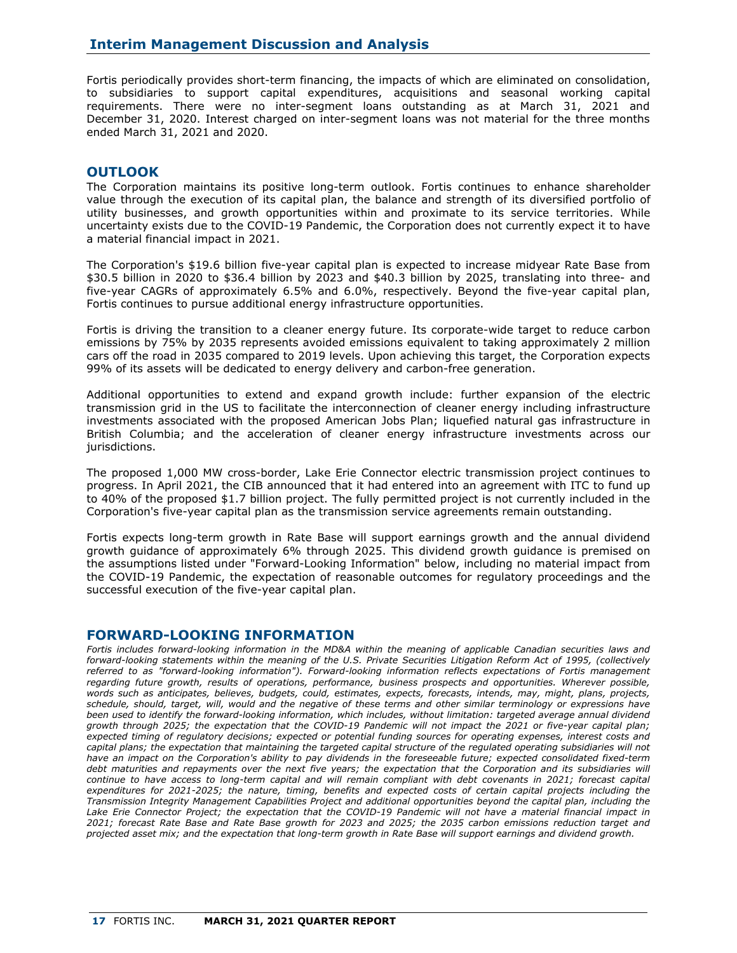Fortis periodically provides short-term financing, the impacts of which are eliminated on consolidation, to subsidiaries to support capital expenditures, acquisitions and seasonal working capital requirements. There were no inter-segment loans outstanding as at March 31, 2021 and December 31, 2020. Interest charged on inter-segment loans was not material for the three months ended March 31, 2021 and 2020.

## **OUTLOOK**

The Corporation maintains its positive long-term outlook. Fortis continues to enhance shareholder value through the execution of its capital plan, the balance and strength of its diversified portfolio of utility businesses, and growth opportunities within and proximate to its service territories. While uncertainty exists due to the COVID-19 Pandemic, the Corporation does not currently expect it to have a material financial impact in 2021.

The Corporation's \$19.6 billion five-year capital plan is expected to increase midyear Rate Base from \$30.5 billion in 2020 to \$36.4 billion by 2023 and \$40.3 billion by 2025, translating into three- and five-year CAGRs of approximately 6.5% and 6.0%, respectively. Beyond the five-year capital plan, Fortis continues to pursue additional energy infrastructure opportunities.

Fortis is driving the transition to a cleaner energy future. Its corporate-wide target to reduce carbon emissions by 75% by 2035 represents avoided emissions equivalent to taking approximately 2 million cars off the road in 2035 compared to 2019 levels. Upon achieving this target, the Corporation expects 99% of its assets will be dedicated to energy delivery and carbon-free generation.

Additional opportunities to extend and expand growth include: further expansion of the electric transmission grid in the US to facilitate the interconnection of cleaner energy including infrastructure investments associated with the proposed American Jobs Plan; liquefied natural gas infrastructure in British Columbia; and the acceleration of cleaner energy infrastructure investments across our jurisdictions.

The proposed 1,000 MW cross-border, Lake Erie Connector electric transmission project continues to progress. In April 2021, the CIB announced that it had entered into an agreement with ITC to fund up to 40% of the proposed \$1.7 billion project. The fully permitted project is not currently included in the Corporation's five-year capital plan as the transmission service agreements remain outstanding.

Fortis expects long-term growth in Rate Base will support earnings growth and the annual dividend growth guidance of approximately 6% through 2025. This dividend growth guidance is premised on the assumptions listed under "Forward-Looking Information" below, including no material impact from the COVID-19 Pandemic, the expectation of reasonable outcomes for regulatory proceedings and the successful execution of the five-year capital plan.

## **FORWARD-LOOKING INFORMATION**

*Fortis includes forward-looking information in the MD&A within the meaning of applicable Canadian securities laws and forward-looking statements within the meaning of the U.S. Private Securities Litigation Reform Act of 1995, (collectively referred to as "forward-looking information"). Forward-looking information reflects expectations of Fortis management regarding future growth, results of operations, performance, business prospects and opportunities. Wherever possible, words such as anticipates, believes, budgets, could, estimates, expects, forecasts, intends, may, might, plans, projects, schedule, should, target, will, would and the negative of these terms and other similar terminology or expressions have been used to identify the forward-looking information, which includes, without limitation: targeted average annual dividend growth through 2025; the expectation that the COVID-19 Pandemic will not impact the 2021 or five-year capital plan; expected timing of regulatory decisions; expected or potential funding sources for operating expenses, interest costs and capital plans; the expectation that maintaining the targeted capital structure of the regulated operating subsidiaries will not have an impact on the Corporation's ability to pay dividends in the foreseeable future; expected consolidated fixed-term*  debt maturities and repayments over the next five years; the expectation that the Corporation and its subsidiaries will *continue to have access to long-term capital and will remain compliant with debt covenants in 2021; forecast capital expenditures for 2021-2025; the nature, timing, benefits and expected costs of certain capital projects including the Transmission Integrity Management Capabilities Project and additional opportunities beyond the capital plan, including the*  Lake Erie Connector Project; the expectation that the COVID-19 Pandemic will not have a material financial impact in *2021; forecast Rate Base and Rate Base growth for 2023 and 2025; the 2035 carbon emissions reduction target and projected asset mix; and the expectation that long-term growth in Rate Base will support earnings and dividend growth.*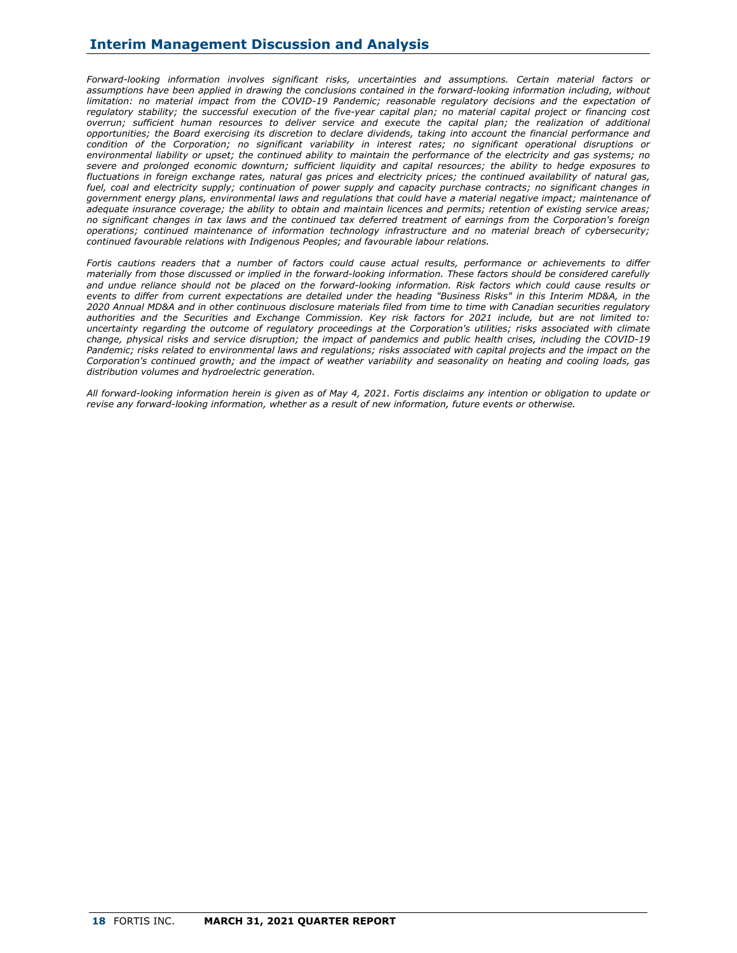*Forward-looking information involves significant risks, uncertainties and assumptions. Certain material factors or assumptions have been applied in drawing the conclusions contained in the forward-looking information including, without limitation: no material impact from the COVID-19 Pandemic; reasonable regulatory decisions and the expectation of regulatory stability; the successful execution of the five-year capital plan; no material capital project or financing cost overrun; sufficient human resources to deliver service and execute the capital plan; the realization of additional opportunities; the Board exercising its discretion to declare dividends, taking into account the financial performance and condition of the Corporation; no significant variability in interest rates; no significant operational disruptions or environmental liability or upset; the continued ability to maintain the performance of the electricity and gas systems; no severe and prolonged economic downturn; sufficient liquidity and capital resources; the ability to hedge exposures to fluctuations in foreign exchange rates, natural gas prices and electricity prices; the continued availability of natural gas, fuel, coal and electricity supply; continuation of power supply and capacity purchase contracts; no significant changes in government energy plans, environmental laws and regulations that could have a material negative impact; maintenance of adequate insurance coverage; the ability to obtain and maintain licences and permits; retention of existing service areas; no significant changes in tax laws and the continued tax deferred treatment of earnings from the Corporation's foreign operations; continued maintenance of information technology infrastructure and no material breach of cybersecurity; continued favourable relations with Indigenous Peoples; and favourable labour relations.*

*Fortis cautions readers that a number of factors could cause actual results, performance or achievements to differ materially from those discussed or implied in the forward-looking information. These factors should be considered carefully and undue reliance should not be placed on the forward-looking information. Risk factors which could cause results or events to differ from current expectations are detailed under the heading "Business Risks" in this Interim MD&A, in the 2020 Annual MD&A and in other continuous disclosure materials filed from time to time with Canadian securities regulatory authorities and the Securities and Exchange Commission. Key risk factors for 2021 include, but are not limited to: uncertainty regarding the outcome of regulatory proceedings at the Corporation's utilities; risks associated with climate change, physical risks and service disruption; the impact of pandemics and public health crises, including the COVID-19*  Pandemic; risks related to environmental laws and regulations; risks associated with capital projects and the impact on the *Corporation's continued growth; and the impact of weather variability and seasonality on heating and cooling loads, gas distribution volumes and hydroelectric generation.*

*All forward-looking information herein is given as of May 4, 2021. Fortis disclaims any intention or obligation to update or revise any forward-looking information, whether as a result of new information, future events or otherwise.*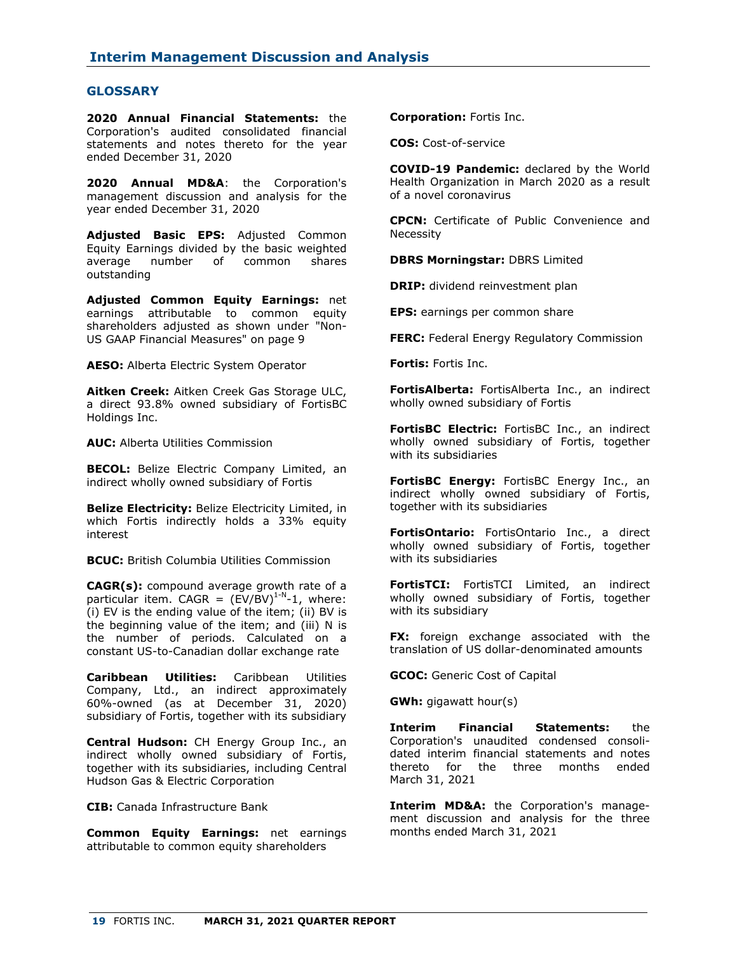## **GLOSSARY**

**2020 Annual Financial Statements:** the Corporation's audited consolidated financial statements and notes thereto for the year ended December 31, 2020

**2020 Annual MD&A**: the Corporation's management discussion and analysis for the year ended December 31, 2020

**Adjusted Basic EPS:** Adjusted Common Equity Earnings divided by the basic weighted average number of common shares outstanding

**Adjusted Common Equity Earnings:** net earnings attributable to common equity shareholders adjusted as shown under "Non-US GAAP Financial Measures" on page 9

**AESO:** Alberta Electric System Operator

**Aitken Creek:** Aitken Creek Gas Storage ULC, a direct 93.8% owned subsidiary of FortisBC Holdings Inc.

**AUC:** Alberta Utilities Commission

**BECOL:** Belize Electric Company Limited, an indirect wholly owned subsidiary of Fortis

**Belize Electricity:** Belize Electricity Limited, in which Fortis indirectly holds a 33% equity interest

**BCUC:** British Columbia Utilities Commission

**CAGR(s):** compound average growth rate of a particular item. CAGR =  $(EV/BV)^{1-N}-1$ , where: (i) EV is the ending value of the item; (ii) BV is the beginning value of the item; and (iii) N is the number of periods. Calculated on a constant US-to-Canadian dollar exchange rate

**Caribbean Utilities:** Caribbean Utilities Company, Ltd., an indirect approximately 60%-owned (as at December 31, 2020) subsidiary of Fortis, together with its subsidiary

**Central Hudson:** CH Energy Group Inc., an indirect wholly owned subsidiary of Fortis, together with its subsidiaries, including Central Hudson Gas & Electric Corporation

**CIB:** Canada Infrastructure Bank

**Common Equity Earnings:** net earnings attributable to common equity shareholders

**Corporation:** Fortis Inc.

**COS:** Cost-of-service

**COVID-19 Pandemic:** declared by the World Health Organization in March 2020 as a result of a novel coronavirus

**CPCN:** Certificate of Public Convenience and Necessity

**DBRS Morningstar:** DBRS Limited

**DRIP:** dividend reinvestment plan

**EPS:** earnings per common share

**FERC:** Federal Energy Regulatory Commission

**Fortis:** Fortis Inc.

**FortisAlberta:** FortisAlberta Inc., an indirect wholly owned subsidiary of Fortis

**FortisBC Electric:** FortisBC Inc., an indirect wholly owned subsidiary of Fortis, together with its subsidiaries

**FortisBC Energy:** FortisBC Energy Inc., an indirect wholly owned subsidiary of Fortis, together with its subsidiaries

**FortisOntario:** FortisOntario Inc., a direct wholly owned subsidiary of Fortis, together with its subsidiaries

**FortisTCI:** FortisTCI Limited, an indirect wholly owned subsidiary of Fortis, together with its subsidiary

**FX:** foreign exchange associated with the translation of US dollar-denominated amounts

**GCOC:** Generic Cost of Capital

**GWh:** gigawatt hour(s)

**Interim Financial Statements:** the Corporation's unaudited condensed consolidated interim financial statements and notes thereto for the three months ended March 31, 2021

**Interim MD&A:** the Corporation's management discussion and analysis for the three months ended March 31, 2021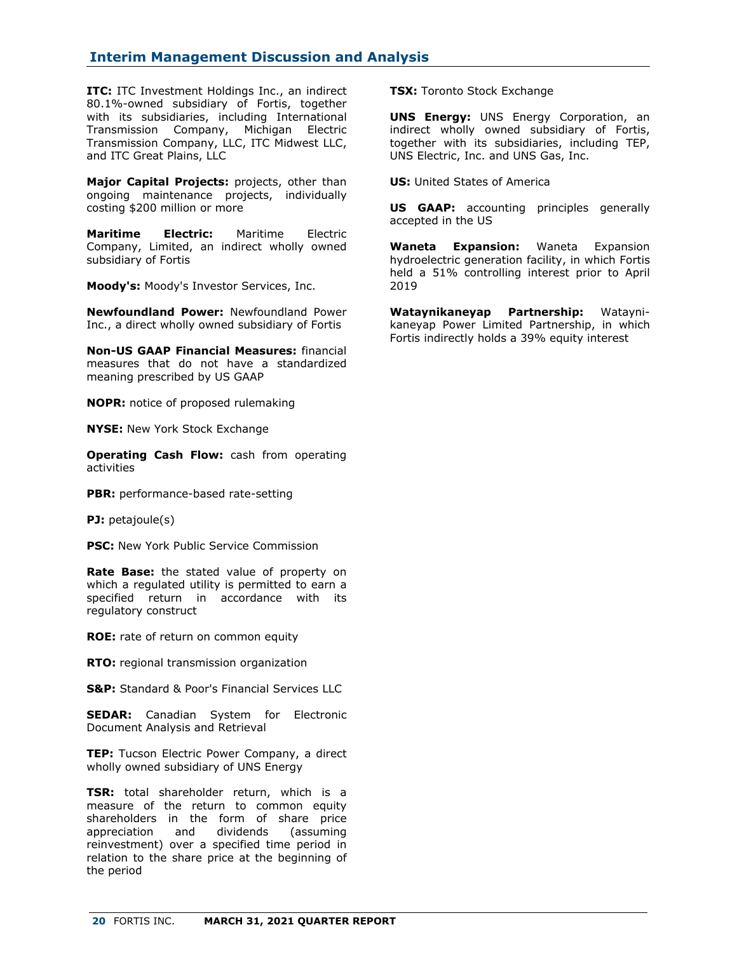**ITC:** ITC Investment Holdings Inc., an indirect 80.1%-owned subsidiary of Fortis, together with its subsidiaries, including International Transmission Company, Michigan Electric Transmission Company, LLC, ITC Midwest LLC, and ITC Great Plains, LLC

**Major Capital Projects:** projects, other than ongoing maintenance projects, individually costing \$200 million or more

**Maritime Electric:** Maritime Electric Company, Limited, an indirect wholly owned subsidiary of Fortis

**Moody's:** Moody's Investor Services, Inc.

**Newfoundland Power:** Newfoundland Power Inc., a direct wholly owned subsidiary of Fortis

**Non-US GAAP Financial Measures:** financial measures that do not have a standardized meaning prescribed by US GAAP

**NOPR:** notice of proposed rulemaking

**NYSE:** New York Stock Exchange

**Operating Cash Flow:** cash from operating activities

**PBR:** performance-based rate-setting

**PJ:** petajoule(s)

**PSC:** New York Public Service Commission

**Rate Base:** the stated value of property on which a regulated utility is permitted to earn a specified return in accordance with its regulatory construct

**ROE:** rate of return on common equity

**RTO:** regional transmission organization

**S&P:** Standard & Poor's Financial Services LLC

**SEDAR:** Canadian System for Electronic Document Analysis and Retrieval

**TEP:** Tucson Electric Power Company, a direct wholly owned subsidiary of UNS Energy

**TSR:** total shareholder return, which is a measure of the return to common equity shareholders in the form of share price appreciation and dividends (assuming reinvestment) over a specified time period in relation to the share price at the beginning of the period

**TSX:** Toronto Stock Exchange

**UNS Energy:** UNS Energy Corporation, an indirect wholly owned subsidiary of Fortis, together with its subsidiaries, including TEP, UNS Electric, Inc. and UNS Gas, Inc.

**US:** United States of America

**US GAAP:** accounting principles generally accepted in the US

**Waneta Expansion:** Waneta Expansion hydroelectric generation facility, in which Fortis held a 51% controlling interest prior to April 2019

**Wataynikaneyap Partnership:** Wataynikaneyap Power Limited Partnership, in which Fortis indirectly holds a 39% equity interest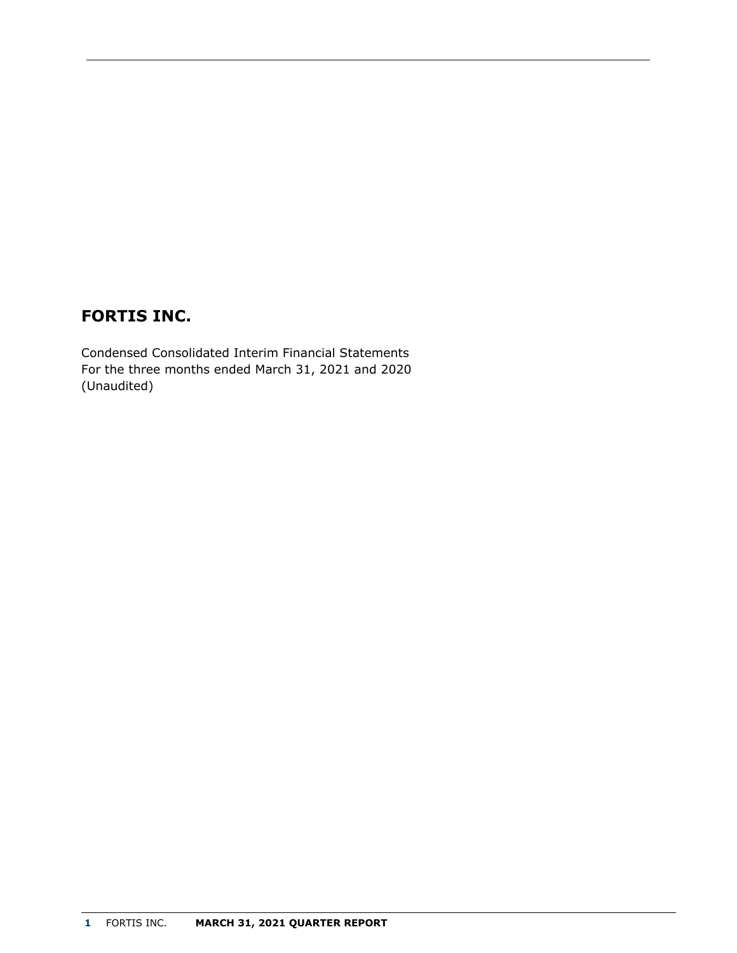# **FORTIS INC.**

Condensed Consolidated Interim Financial Statements For the three months ended March 31, 2021 and 2020 (Unaudited)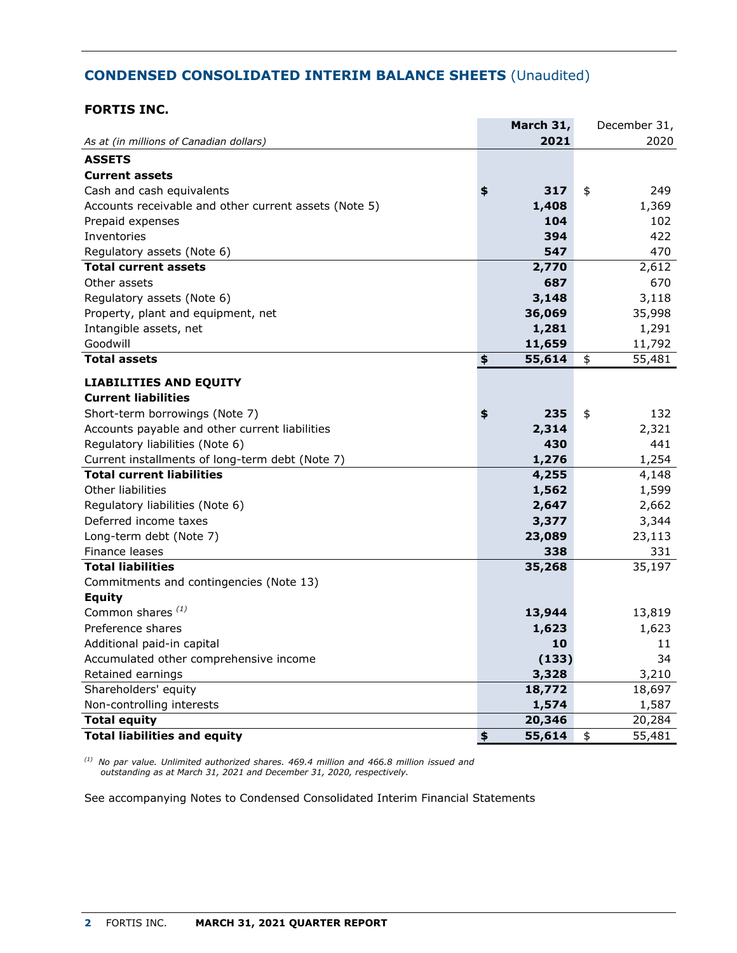# **CONDENSED CONSOLIDATED INTERIM BALANCE SHEETS** (Unaudited)

## **FORTIS INC.**

|                                                       | March 31,    | December 31, |
|-------------------------------------------------------|--------------|--------------|
| As at (in millions of Canadian dollars)               | 2021         | 2020         |
| <b>ASSETS</b>                                         |              |              |
| <b>Current assets</b>                                 |              |              |
| Cash and cash equivalents                             | \$<br>317    | \$<br>249    |
| Accounts receivable and other current assets (Note 5) | 1,408        | 1,369        |
| Prepaid expenses                                      | 104          | 102          |
| Inventories                                           | 394          | 422          |
| Regulatory assets (Note 6)                            | 547          | 470          |
| <b>Total current assets</b>                           | 2,770        | 2,612        |
| Other assets                                          | 687          | 670          |
| Regulatory assets (Note 6)                            | 3,148        | 3,118        |
| Property, plant and equipment, net                    | 36,069       | 35,998       |
| Intangible assets, net                                | 1,281        | 1,291        |
| Goodwill                                              | 11,659       | 11,792       |
| <b>Total assets</b>                                   | \$<br>55,614 | \$<br>55,481 |
| <b>LIABILITIES AND EQUITY</b>                         |              |              |
| <b>Current liabilities</b>                            |              |              |
| Short-term borrowings (Note 7)                        | \$<br>235    | \$<br>132    |
| Accounts payable and other current liabilities        | 2,314        | 2,321        |
| Regulatory liabilities (Note 6)                       | 430          | 441          |
| Current installments of long-term debt (Note 7)       | 1,276        | 1,254        |
| <b>Total current liabilities</b>                      | 4,255        | 4,148        |
| Other liabilities                                     | 1,562        | 1,599        |
| Regulatory liabilities (Note 6)                       | 2,647        | 2,662        |
| Deferred income taxes                                 | 3,377        | 3,344        |
| Long-term debt (Note 7)                               | 23,089       | 23,113       |
| Finance leases                                        | 338          | 331          |
| <b>Total liabilities</b>                              | 35,268       | 35,197       |
| Commitments and contingencies (Note 13)               |              |              |
| <b>Equity</b>                                         |              |              |
| Common shares <sup>(1)</sup>                          | 13,944       | 13,819       |
| Preference shares                                     | 1,623        | 1,623        |
| Additional paid-in capital                            | 10           | 11           |
| Accumulated other comprehensive income                | (133)        | 34           |
| Retained earnings                                     | 3,328        | 3,210        |
| Shareholders' equity                                  | 18,772       | 18,697       |
| Non-controlling interests                             | 1,574        | 1,587        |
| <b>Total equity</b>                                   | 20,346       | 20,284       |
| <b>Total liabilities and equity</b>                   | \$<br>55,614 | \$<br>55,481 |

*(1) No par value. Unlimited authorized shares. 469.4 million and 466.8 million issued and outstanding as at March 31, 2021 and December 31, 2020, respectively.*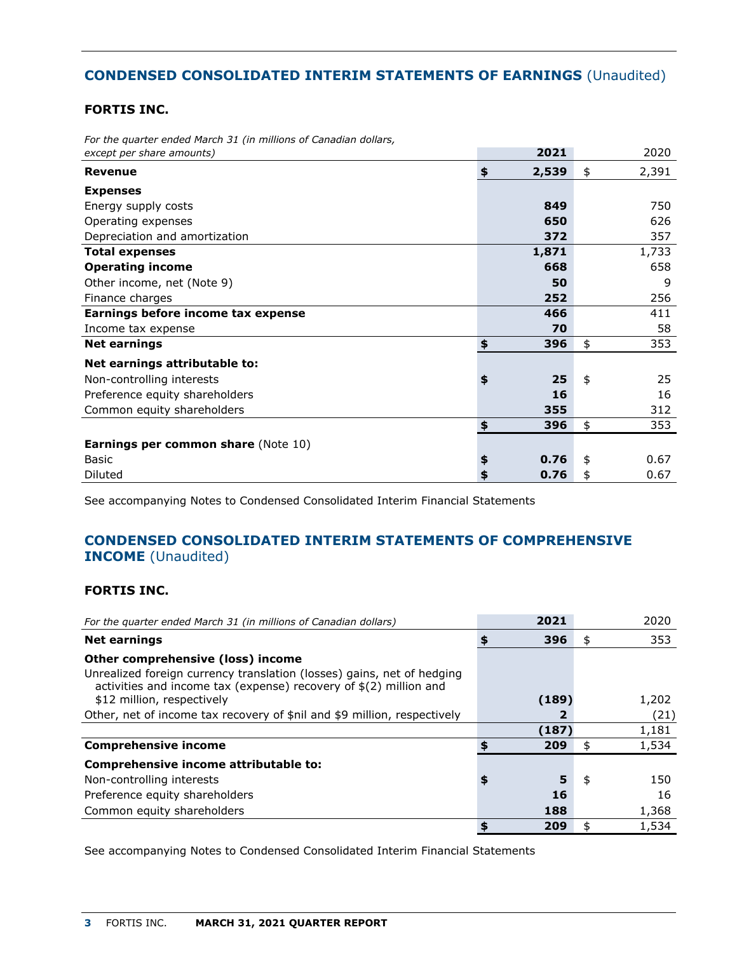# **CONDENSED CONSOLIDATED INTERIM STATEMENTS OF EARNINGS** (Unaudited)

## **FORTIS INC.**

| except per share amounts)                  | 2021        | 2020        |
|--------------------------------------------|-------------|-------------|
| <b>Revenue</b>                             | \$<br>2,539 | \$<br>2,391 |
| <b>Expenses</b>                            |             |             |
| Energy supply costs                        | 849         | 750         |
| Operating expenses                         | 650         | 626         |
| Depreciation and amortization              | 372         | 357         |
| <b>Total expenses</b>                      | 1,871       | 1,733       |
| <b>Operating income</b>                    | 668         | 658         |
| Other income, net (Note 9)                 | 50          | 9           |
| Finance charges                            | 252         | 256         |
| Earnings before income tax expense         | 466         | 411         |
| Income tax expense                         | 70          | 58          |
| <b>Net earnings</b>                        | \$<br>396   | \$<br>353   |
| Net earnings attributable to:              |             |             |
| Non-controlling interests                  | \$<br>25    | \$<br>25    |
| Preference equity shareholders             | 16          | 16          |
| Common equity shareholders                 | 355         | 312         |
|                                            | \$<br>396   | \$<br>353   |
| <b>Earnings per common share (Note 10)</b> |             |             |
| Basic                                      | \$<br>0.76  | \$<br>0.67  |
| Diluted                                    | \$<br>0.76  | \$<br>0.67  |

*For the quarter ended March 31 (in millions of Canadian dollars,*

See accompanying Notes to Condensed Consolidated Interim Financial Statements

# **CONDENSED CONSOLIDATED INTERIM STATEMENTS OF COMPREHENSIVE INCOME** (Unaudited)

## **FORTIS INC.**

| For the quarter ended March 31 (in millions of Canadian dollars)                                                                                                                  |    | 2021  | 2020      |
|-----------------------------------------------------------------------------------------------------------------------------------------------------------------------------------|----|-------|-----------|
| <b>Net earnings</b>                                                                                                                                                               | \$ | 396   | \$<br>353 |
| Other comprehensive (loss) income<br>Unrealized foreign currency translation (losses) gains, net of hedging<br>activities and income tax (expense) recovery of $$(2)$ million and |    |       |           |
| \$12 million, respectively                                                                                                                                                        |    | (189) | 1,202     |
| Other, net of income tax recovery of \$nil and \$9 million, respectively                                                                                                          |    |       | (21)      |
|                                                                                                                                                                                   |    | (187) | 1,181     |
| <b>Comprehensive income</b>                                                                                                                                                       | \$ | 209   | 1,534     |
| Comprehensive income attributable to:                                                                                                                                             |    |       |           |
| Non-controlling interests                                                                                                                                                         | \$ | 5     | \$<br>150 |
| Preference equity shareholders                                                                                                                                                    |    | 16    | 16        |
| Common equity shareholders                                                                                                                                                        |    | 188   | 1,368     |
|                                                                                                                                                                                   | S  | 209   | 1,534     |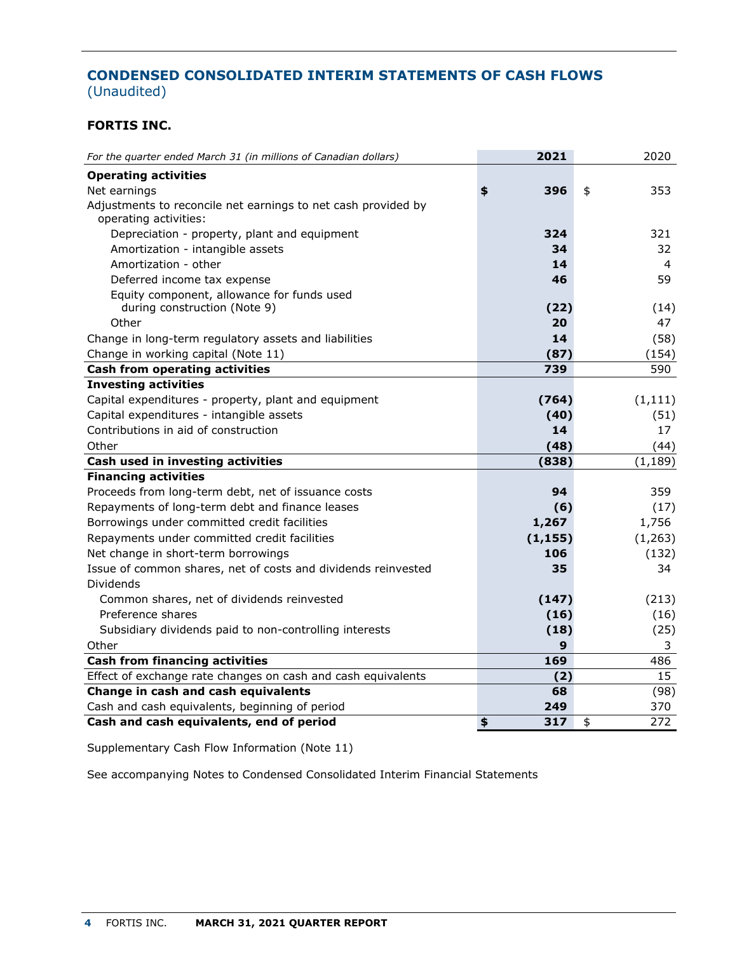# **CONDENSED CONSOLIDATED INTERIM STATEMENTS OF CASH FLOWS**  (Unaudited)

## **FORTIS INC.**

| For the quarter ended March 31 (in millions of Canadian dollars) | 2021      | 2020      |
|------------------------------------------------------------------|-----------|-----------|
| <b>Operating activities</b>                                      |           |           |
| Net earnings                                                     | 396<br>\$ | \$<br>353 |
| Adjustments to reconcile net earnings to net cash provided by    |           |           |
| operating activities:                                            |           |           |
| Depreciation - property, plant and equipment                     | 324       | 321       |
| Amortization - intangible assets                                 | 34        | 32        |
| Amortization - other                                             | 14        | 4         |
| Deferred income tax expense                                      | 46        | 59        |
| Equity component, allowance for funds used                       |           |           |
| during construction (Note 9)                                     | (22)      | (14)      |
| Other                                                            | 20        | 47        |
| Change in long-term regulatory assets and liabilities            | 14        | (58)      |
| Change in working capital (Note 11)                              | (87)      | (154)     |
| <b>Cash from operating activities</b>                            | 739       | 590       |
| <b>Investing activities</b>                                      |           |           |
| Capital expenditures - property, plant and equipment             | (764)     | (1, 111)  |
| Capital expenditures - intangible assets                         | (40)      | (51)      |
| Contributions in aid of construction                             | 14        | 17        |
| Other                                                            | (48)      | (44)      |
| Cash used in investing activities                                | (838)     | (1, 189)  |
| <b>Financing activities</b>                                      |           |           |
| Proceeds from long-term debt, net of issuance costs              | 94        | 359       |
| Repayments of long-term debt and finance leases                  | (6)       | (17)      |
| Borrowings under committed credit facilities                     | 1,267     | 1,756     |
| Repayments under committed credit facilities                     | (1, 155)  | (1,263)   |
| Net change in short-term borrowings                              | 106       | (132)     |
| Issue of common shares, net of costs and dividends reinvested    | 35        | 34        |
| Dividends                                                        |           |           |
| Common shares, net of dividends reinvested                       | (147)     | (213)     |
| Preference shares                                                | (16)      | (16)      |
| Subsidiary dividends paid to non-controlling interests           | (18)      | (25)      |
| Other                                                            | 9         | 3         |
| <b>Cash from financing activities</b>                            | 169       | 486       |
| Effect of exchange rate changes on cash and cash equivalents     | (2)       | 15        |
| Change in cash and cash equivalents                              | 68        | (98)      |
| Cash and cash equivalents, beginning of period                   | 249       | 370       |
| Cash and cash equivalents, end of period                         | 317<br>\$ | \$<br>272 |

Supplementary Cash Flow Information (Note 11)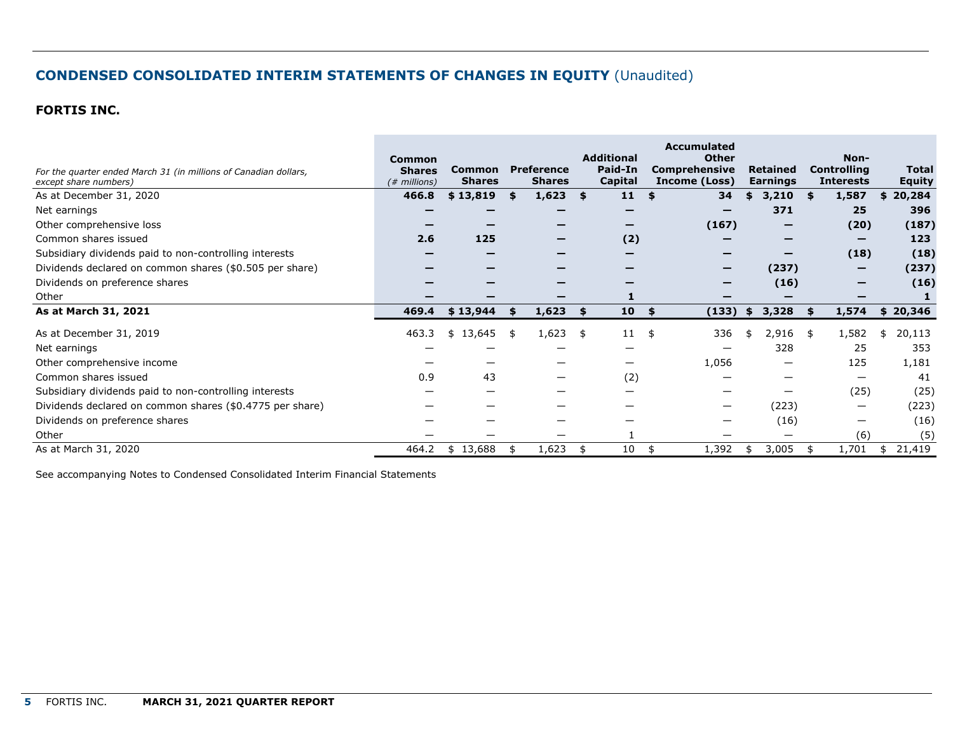# **CONDENSED CONSOLIDATED INTERIM STATEMENTS OF CHANGES IN EQUITY** (Unaudited)

## **FORTIS INC.**

| For the quarter ended March 31 (in millions of Canadian dollars,<br>except share numbers) | <b>Common</b><br><b>Shares</b><br>$#$ millions) | <b>Common</b><br><b>Shares</b> |     | <b>Preference</b><br><b>Shares</b> |     | <b>Additional</b><br>Paid-In<br>Capital | <b>Accumulated</b><br><b>Other</b><br><b>Comprehensive</b><br>Income (Loss) |     | <b>Retained</b><br><b>Earnings</b> |    | Non-<br><b>Controlling</b><br><b>Interests</b> | <b>Total</b><br><b>Equity</b> |
|-------------------------------------------------------------------------------------------|-------------------------------------------------|--------------------------------|-----|------------------------------------|-----|-----------------------------------------|-----------------------------------------------------------------------------|-----|------------------------------------|----|------------------------------------------------|-------------------------------|
| As at December 31, 2020                                                                   | 466.8                                           | \$13,819                       | -\$ | 1,623                              | \$  | 11                                      | 34<br>£.                                                                    | \$  | 3,210                              | \$ | 1,587                                          | \$20,284                      |
| Net earnings                                                                              |                                                 |                                |     |                                    |     |                                         |                                                                             |     | 371                                |    | 25                                             | 396                           |
| Other comprehensive loss                                                                  |                                                 |                                |     |                                    |     |                                         | (167)                                                                       |     |                                    |    | (20)                                           | (187)                         |
| Common shares issued                                                                      | 2.6                                             | 125                            |     |                                    |     | (2)                                     |                                                                             |     |                                    |    | -                                              | 123                           |
| Subsidiary dividends paid to non-controlling interests                                    |                                                 |                                |     |                                    |     |                                         |                                                                             |     | –                                  |    | (18)                                           | (18)                          |
| Dividends declared on common shares (\$0.505 per share)                                   |                                                 |                                |     |                                    |     |                                         |                                                                             |     | (237)                              |    |                                                | (237)                         |
| Dividends on preference shares                                                            |                                                 |                                |     |                                    |     |                                         |                                                                             |     | (16)                               |    |                                                | (16)                          |
| Other                                                                                     |                                                 |                                |     |                                    |     |                                         |                                                                             |     |                                    |    |                                                |                               |
| As at March 31, 2021                                                                      | 469.4                                           | \$13,944                       | S.  | 1,623                              | \$. | 10                                      | (133)<br>\$                                                                 | \$. | 3,328                              | S. | 1,574                                          | \$20,346                      |
| As at December 31, 2019                                                                   | 463.3                                           | 13,645<br>\$                   | -\$ | 1,623                              | \$  | 11                                      | 336<br>\$                                                                   | \$  | 2,916                              | \$ | 1,582                                          | 20,113<br>£.                  |
| Net earnings                                                                              |                                                 |                                |     |                                    |     |                                         |                                                                             |     | 328                                |    | 25                                             | 353                           |
| Other comprehensive income                                                                |                                                 |                                |     |                                    |     |                                         | 1,056                                                                       |     |                                    |    | 125                                            | 1,181                         |
| Common shares issued                                                                      | 0.9                                             | 43                             |     |                                    |     | (2)                                     |                                                                             |     |                                    |    |                                                | 41                            |
| Subsidiary dividends paid to non-controlling interests                                    |                                                 |                                |     |                                    |     |                                         |                                                                             |     |                                    |    | (25)                                           | (25)                          |
| Dividends declared on common shares (\$0.4775 per share)                                  |                                                 |                                |     |                                    |     |                                         |                                                                             |     | (223)                              |    | $\hspace{0.05cm}$                              | (223)                         |
| Dividends on preference shares                                                            |                                                 |                                |     |                                    |     |                                         |                                                                             |     | (16)                               |    |                                                | (16)                          |
| Other                                                                                     |                                                 |                                |     |                                    |     |                                         |                                                                             |     |                                    |    | (6)                                            | (5)                           |
| As at March 31, 2020                                                                      | 464.2                                           | \$13,688                       |     | 1,623                              |     | 10                                      | 1,392<br>\$                                                                 | -55 | 3,005                              | \$ | 1,701                                          | 21,419<br>S.                  |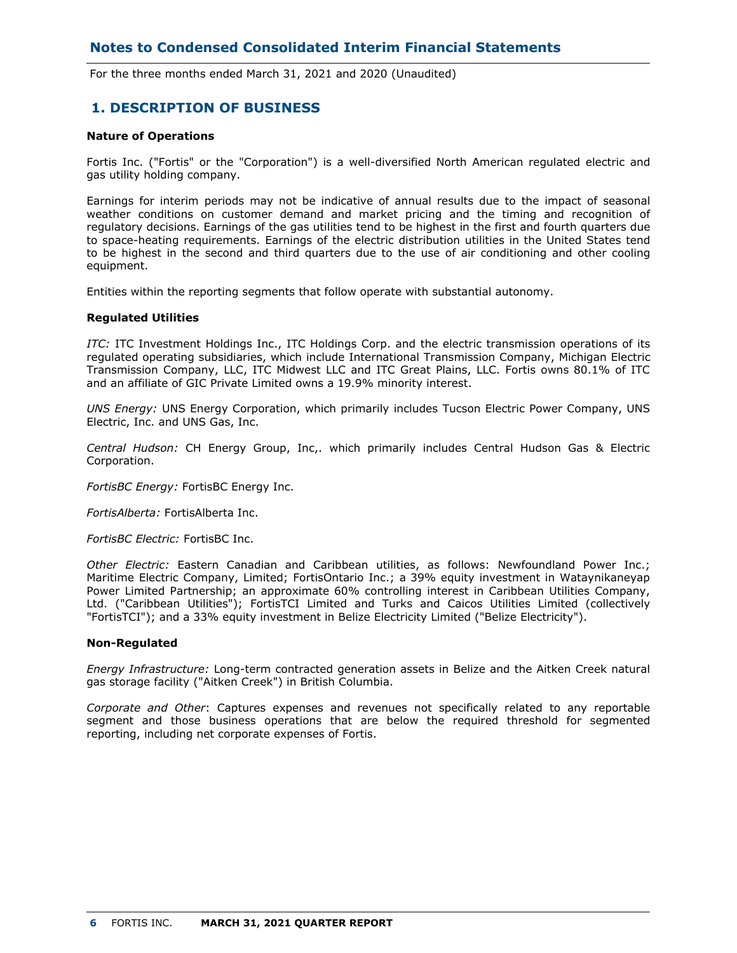For the three months ended March 31, 2021 and 2020 (Unaudited)

## **1. DESCRIPTION OF BUSINESS**

### **Nature of Operations**

Fortis Inc. ("Fortis" or the "Corporation") is a well-diversified North American regulated electric and gas utility holding company.

Earnings for interim periods may not be indicative of annual results due to the impact of seasonal weather conditions on customer demand and market pricing and the timing and recognition of regulatory decisions. Earnings of the gas utilities tend to be highest in the first and fourth quarters due to space-heating requirements. Earnings of the electric distribution utilities in the United States tend to be highest in the second and third quarters due to the use of air conditioning and other cooling equipment.

Entities within the reporting segments that follow operate with substantial autonomy.

#### **Regulated Utilities**

*ITC:* ITC Investment Holdings Inc., ITC Holdings Corp. and the electric transmission operations of its regulated operating subsidiaries, which include International Transmission Company, Michigan Electric Transmission Company, LLC, ITC Midwest LLC and ITC Great Plains, LLC. Fortis owns 80.1% of ITC and an affiliate of GIC Private Limited owns a 19.9% minority interest.

*UNS Energy:* UNS Energy Corporation, which primarily includes Tucson Electric Power Company, UNS Electric, Inc. and UNS Gas, Inc.

*Central Hudson:* CH Energy Group, Inc,. which primarily includes Central Hudson Gas & Electric Corporation.

*FortisBC Energy:* FortisBC Energy Inc.

*FortisAlberta:* FortisAlberta Inc.

*FortisBC Electric:* FortisBC Inc.

*Other Electric:* Eastern Canadian and Caribbean utilities, as follows: Newfoundland Power Inc.; Maritime Electric Company, Limited; FortisOntario Inc.; a 39% equity investment in Wataynikaneyap Power Limited Partnership; an approximate 60% controlling interest in Caribbean Utilities Company, Ltd. ("Caribbean Utilities"); FortisTCI Limited and Turks and Caicos Utilities Limited (collectively "FortisTCI"); and a 33% equity investment in Belize Electricity Limited ("Belize Electricity").

### **Non-Regulated**

*Energy Infrastructure:* Long-term contracted generation assets in Belize and the Aitken Creek natural gas storage facility ("Aitken Creek") in British Columbia.

*Corporate and Other*: Captures expenses and revenues not specifically related to any reportable segment and those business operations that are below the required threshold for segmented reporting, including net corporate expenses of Fortis.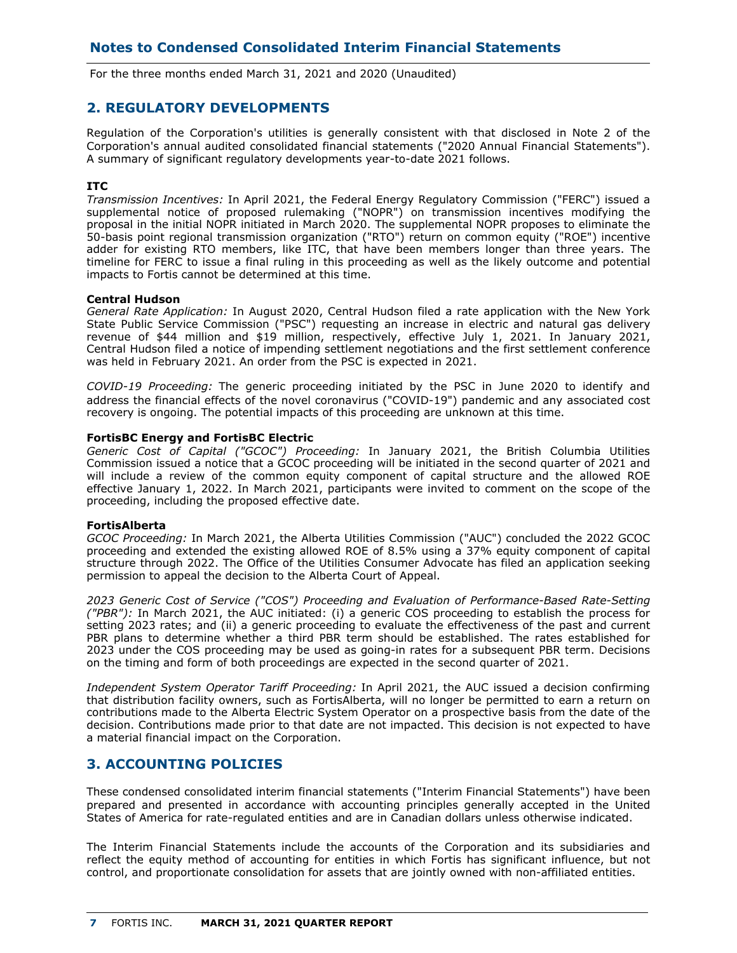For the three months ended March 31, 2021 and 2020 (Unaudited)

## **2. REGULATORY DEVELOPMENTS**

Regulation of the Corporation's utilities is generally consistent with that disclosed in Note 2 of the Corporation's annual audited consolidated financial statements ("2020 Annual Financial Statements"). A summary of significant regulatory developments year-to-date 2021 follows.

## **ITC**

*Transmission Incentives:* In April 2021, the Federal Energy Regulatory Commission ("FERC") issued a supplemental notice of proposed rulemaking ("NOPR") on transmission incentives modifying the proposal in the initial NOPR initiated in March 2020. The supplemental NOPR proposes to eliminate the 50-basis point regional transmission organization ("RTO") return on common equity ("ROE") incentive adder for existing RTO members, like ITC, that have been members longer than three years. The timeline for FERC to issue a final ruling in this proceeding as well as the likely outcome and potential impacts to Fortis cannot be determined at this time.

#### **Central Hudson**

*General Rate Application:* In August 2020, Central Hudson filed a rate application with the New York State Public Service Commission ("PSC") requesting an increase in electric and natural gas delivery revenue of \$44 million and \$19 million, respectively, effective July 1, 2021. In January 2021, Central Hudson filed a notice of impending settlement negotiations and the first settlement conference was held in February 2021. An order from the PSC is expected in 2021.

*COVID-19 Proceeding:* The generic proceeding initiated by the PSC in June 2020 to identify and address the financial effects of the novel coronavirus ("COVID-19") pandemic and any associated cost recovery is ongoing. The potential impacts of this proceeding are unknown at this time.

#### **FortisBC Energy and FortisBC Electric**

*Generic Cost of Capital ("GCOC") Proceeding:* In January 2021, the British Columbia Utilities Commission issued a notice that a GCOC proceeding will be initiated in the second quarter of 2021 and will include a review of the common equity component of capital structure and the allowed ROE effective January 1, 2022. In March 2021, participants were invited to comment on the scope of the proceeding, including the proposed effective date.

### **FortisAlberta**

*GCOC Proceeding:* In March 2021, the Alberta Utilities Commission ("AUC") concluded the 2022 GCOC proceeding and extended the existing allowed ROE of 8.5% using a 37% equity component of capital structure through 2022. The Office of the Utilities Consumer Advocate has filed an application seeking permission to appeal the decision to the Alberta Court of Appeal.

*2023 Generic Cost of Service ("COS") Proceeding and Evaluation of Performance-Based Rate-Setting ("PBR"):* In March 2021, the AUC initiated: (i) a generic COS proceeding to establish the process for setting 2023 rates; and (ii) a generic proceeding to evaluate the effectiveness of the past and current PBR plans to determine whether a third PBR term should be established. The rates established for 2023 under the COS proceeding may be used as going-in rates for a subsequent PBR term. Decisions on the timing and form of both proceedings are expected in the second quarter of 2021.

*Independent System Operator Tariff Proceeding:* In April 2021, the AUC issued a decision confirming that distribution facility owners, such as FortisAlberta, will no longer be permitted to earn a return on contributions made to the Alberta Electric System Operator on a prospective basis from the date of the decision. Contributions made prior to that date are not impacted. This decision is not expected to have a material financial impact on the Corporation.

## **3. ACCOUNTING POLICIES**

These condensed consolidated interim financial statements ("Interim Financial Statements") have been prepared and presented in accordance with accounting principles generally accepted in the United States of America for rate-regulated entities and are in Canadian dollars unless otherwise indicated.

The Interim Financial Statements include the accounts of the Corporation and its subsidiaries and reflect the equity method of accounting for entities in which Fortis has significant influence, but not control, and proportionate consolidation for assets that are jointly owned with non-affiliated entities.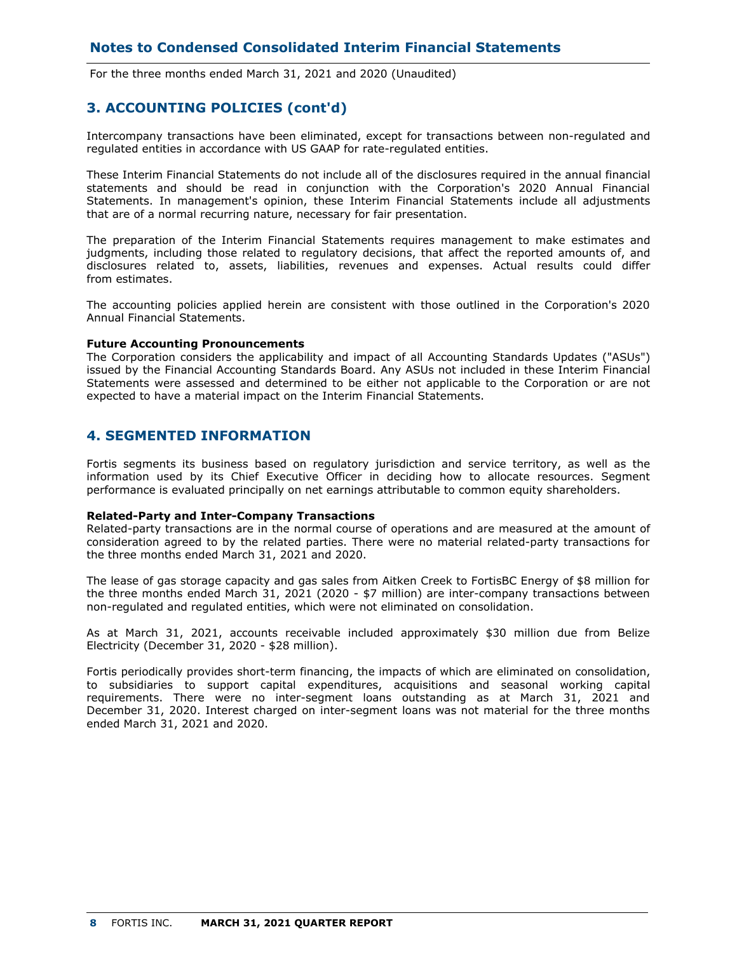For the three months ended March 31, 2021 and 2020 (Unaudited)

## **3. ACCOUNTING POLICIES (cont'd)**

Intercompany transactions have been eliminated, except for transactions between non-regulated and regulated entities in accordance with US GAAP for rate-regulated entities.

These Interim Financial Statements do not include all of the disclosures required in the annual financial statements and should be read in conjunction with the Corporation's 2020 Annual Financial Statements. In management's opinion, these Interim Financial Statements include all adjustments that are of a normal recurring nature, necessary for fair presentation.

The preparation of the Interim Financial Statements requires management to make estimates and judgments, including those related to regulatory decisions, that affect the reported amounts of, and disclosures related to, assets, liabilities, revenues and expenses. Actual results could differ from estimates.

The accounting policies applied herein are consistent with those outlined in the Corporation's 2020 Annual Financial Statements.

#### **Future Accounting Pronouncements**

The Corporation considers the applicability and impact of all Accounting Standards Updates ("ASUs") issued by the Financial Accounting Standards Board. Any ASUs not included in these Interim Financial Statements were assessed and determined to be either not applicable to the Corporation or are not expected to have a material impact on the Interim Financial Statements.

## **4. SEGMENTED INFORMATION**

Fortis segments its business based on regulatory jurisdiction and service territory, as well as the information used by its Chief Executive Officer in deciding how to allocate resources. Segment performance is evaluated principally on net earnings attributable to common equity shareholders.

#### **Related-Party and Inter-Company Transactions**

Related-party transactions are in the normal course of operations and are measured at the amount of consideration agreed to by the related parties. There were no material related-party transactions for the three months ended March 31, 2021 and 2020.

The lease of gas storage capacity and gas sales from Aitken Creek to FortisBC Energy of \$8 million for the three months ended March 31, 2021 (2020 - \$7 million) are inter-company transactions between non-regulated and regulated entities, which were not eliminated on consolidation.

As at March 31, 2021, accounts receivable included approximately \$30 million due from Belize Electricity (December 31, 2020 - \$28 million).

Fortis periodically provides short-term financing, the impacts of which are eliminated on consolidation, to subsidiaries to support capital expenditures, acquisitions and seasonal working capital requirements. There were no inter-segment loans outstanding as at March 31, 2021 and December 31, 2020. Interest charged on inter-segment loans was not material for the three months ended March 31, 2021 and 2020.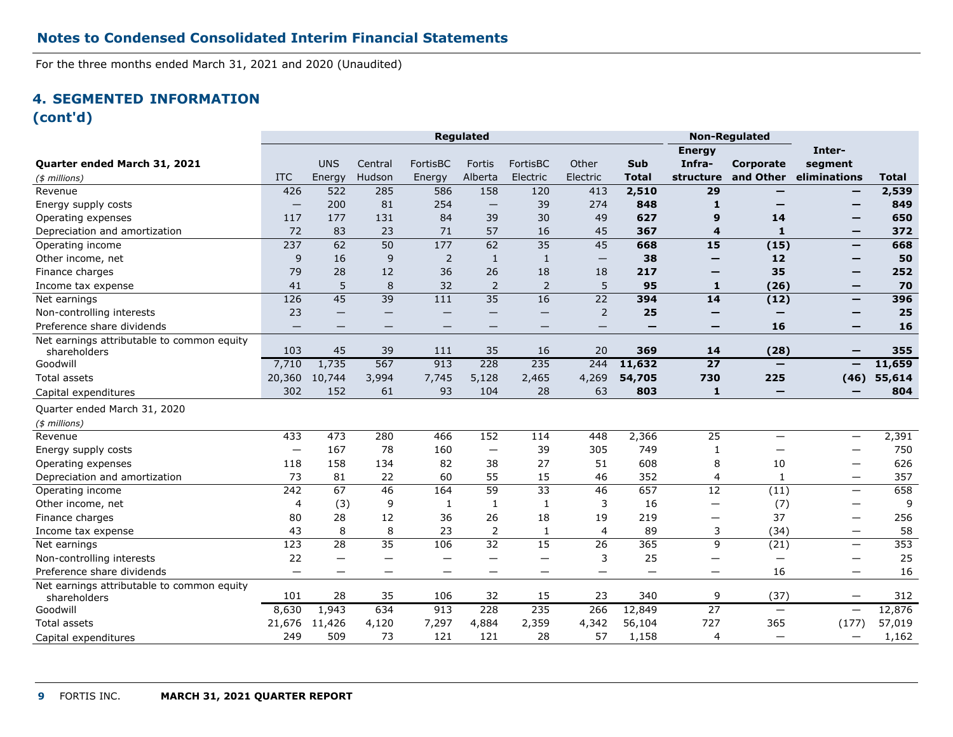For the three months ended March 31, 2021 and 2020 (Unaudited)

# **4. SEGMENTED INFORMATION (cont'd)**

|                                                            |                          |                          |                          |                 | <b>Regulated</b>         |                 |                   |          |                          | <b>Non-Regulated</b> |                          |              |
|------------------------------------------------------------|--------------------------|--------------------------|--------------------------|-----------------|--------------------------|-----------------|-------------------|----------|--------------------------|----------------------|--------------------------|--------------|
|                                                            |                          |                          |                          |                 |                          |                 |                   |          | <b>Energy</b>            |                      | Inter-                   |              |
| <b>Quarter ended March 31, 2021</b>                        |                          | <b>UNS</b>               | Central                  | FortisBC        | Fortis                   | FortisBC        | Other             | Sub      | Infra-                   | Corporate            | segment                  |              |
| $($$ millions)                                             | <b>ITC</b>               | Energy                   | Hudson                   | Energy          | Alberta                  | Electric        | Electric          | Total    | structure                | and Other            | eliminations             | <b>Total</b> |
| Revenue                                                    | 426                      | 522                      | 285                      | 586             | 158                      | 120             | 413               | 2,510    | 29                       |                      | —                        | 2,539        |
| Energy supply costs                                        | $\overline{\phantom{m}}$ | 200                      | 81                       | 254             | $\overline{\phantom{0}}$ | 39              | 274               | 848      | $\mathbf{1}$             |                      |                          | 849          |
| Operating expenses                                         | 117                      | 177                      | 131                      | 84              | 39                       | 30              | 49                | 627      | 9                        | 14                   | -                        | 650          |
| Depreciation and amortization                              | 72                       | 83                       | 23                       | 71              | 57                       | 16              | 45                | 367      | 4                        | $\mathbf{1}$         |                          | 372          |
| Operating income                                           | 237                      | 62                       | 50                       | 177             | 62                       | 35              | 45                | 668      | 15                       | (15)                 | $\qquad \qquad$          | 668          |
| Other income, net                                          | 9                        | 16                       | 9                        | $\overline{2}$  | $\mathbf{1}$             | $\mathbf{1}$    | $\qquad \qquad -$ | 38       | -                        | 12                   | -                        | 50           |
| Finance charges                                            | 79                       | 28                       | 12                       | 36              | 26                       | 18              | 18                | 217      | -                        | 35                   | -                        | 252          |
| Income tax expense                                         | 41                       | 5                        | 8                        | 32              | $\overline{2}$           | 2               | 5                 | 95       | 1                        | (26)                 | $\qquad \qquad$          | 70           |
| Net earnings                                               | 126                      | 45                       | 39                       | 111             | 35                       | 16              | $\overline{22}$   | 394      | 14                       | (12)                 | $\qquad \qquad$          | 396          |
| Non-controlling interests                                  | 23                       |                          | -                        |                 |                          |                 | 2                 | 25       | –                        |                      | -                        | 25           |
| Preference share dividends                                 |                          | —                        |                          |                 |                          |                 |                   |          | –                        | 16                   | -                        | 16           |
| Net earnings attributable to common equity                 | 103                      | 45                       | 39                       | 111             | 35                       | 16              | 20                | 369      | 14                       | (28)                 |                          | 355          |
| shareholders<br>Goodwill                                   | 7,710                    | 1,735                    | 567                      | 913             | 228                      | 235             | 244               | 11,632   | $\overline{27}$          | $\qquad \qquad$      | —                        | 11,659       |
| <b>Total assets</b>                                        | 20,360                   | 10,744                   | 3,994                    | 7,745           | 5,128                    | 2,465           | 4,269             | 54,705   | 730                      | 225                  |                          | 55,614       |
|                                                            | 302                      | 152                      | 61                       | 93              | 104                      | 28              | 63                | 803      | $\mathbf{1}$             | —                    | (46)<br>—                | 804          |
| Capital expenditures                                       |                          |                          |                          |                 |                          |                 |                   |          |                          |                      |                          |              |
| Quarter ended March 31, 2020                               |                          |                          |                          |                 |                          |                 |                   |          |                          |                      |                          |              |
| $(*)$ millions)                                            |                          |                          |                          |                 |                          |                 |                   |          |                          |                      |                          |              |
| Revenue                                                    | 433                      | 473                      | 280                      | 466             | 152                      | 114             | 448               | 2,366    | 25                       | —                    |                          | 2,391        |
| Energy supply costs                                        |                          | 167                      | 78                       | 160             | $\equiv$                 | 39              | 305               | 749      | -1                       |                      |                          | 750          |
| Operating expenses                                         | 118                      | 158                      | 134                      | 82              | 38                       | 27              | 51                | 608      | 8                        | 10                   | —                        | 626          |
| Depreciation and amortization                              | 73                       | 81                       | 22                       | 60              | 55                       | 15              | 46                | 352      | 4                        | $\mathbf{1}$         | $\overline{\phantom{0}}$ | 357          |
| Operating income                                           | $\overline{242}$         | 67                       | 46                       | 164             | $\overline{59}$          | $\overline{33}$ | 46                | 657      | $\overline{12}$          | (11)                 | $\equiv$                 | 658          |
| Other income, net                                          | $\overline{4}$           | (3)                      | 9                        | 1               | 1                        | 1               | 3                 | 16       | $\qquad \qquad \qquad$   | (7)                  | $\qquad \qquad -$        | 9            |
| Finance charges                                            | 80                       | 28                       | 12                       | 36              | 26                       | 18              | 19                | 219      | —                        | 37                   | $\qquad \qquad -$        | 256          |
| Income tax expense                                         | 43                       | 8                        | $\,8\,$                  | 23              | $\overline{2}$           | $\mathbf{1}$    | $\overline{4}$    | 89       | 3                        | (34)                 | $\equiv$                 | 58           |
| Net earnings                                               | $\overline{123}$         | $\overline{28}$          | $\overline{35}$          | 106             | $\overline{32}$          | $\overline{15}$ | $\overline{26}$   | 365      | 9                        | (21)                 | $\equiv$                 | 353          |
| Non-controlling interests                                  | 22                       | $\overline{\phantom{0}}$ | -                        | -               |                          |                 | 3                 | 25       | $\overline{\phantom{0}}$ | -                    | $\qquad \qquad -$        | 25           |
| Preference share dividends                                 | $\qquad \qquad -$        | $\overline{\phantom{m}}$ | $\overline{\phantom{m}}$ | $\qquad \qquad$ | —                        | $\qquad \qquad$ | $\equiv$          | $\equiv$ | —                        | 16                   | $\overline{\phantom{m}}$ | 16           |
| Net earnings attributable to common equity<br>shareholders | 101                      | 28                       | 35                       | 106             | 32                       | 15              | 23                | 340      | 9                        | (37)                 | $\qquad \qquad$          | 312          |
| Goodwill                                                   | 8,630                    | 1,943                    | 634                      | 913             | 228                      | 235             | 266               | 12,849   | $\overline{27}$          | $\equiv$             | $\equiv$                 | 12,876       |
| Total assets                                               | 21,676                   | 11,426                   | 4,120                    | 7,297           | 4,884                    | 2,359           | 4,342             | 56,104   | 727                      | 365                  | (177)                    | 57,019       |
| Capital expenditures                                       | 249                      | 509                      | 73                       | 121             | 121                      | 28              | 57                | 1,158    | 4                        | $\qquad \qquad -$    | $\qquad \qquad -$        | 1,162        |
|                                                            |                          |                          |                          |                 |                          |                 |                   |          |                          |                      |                          |              |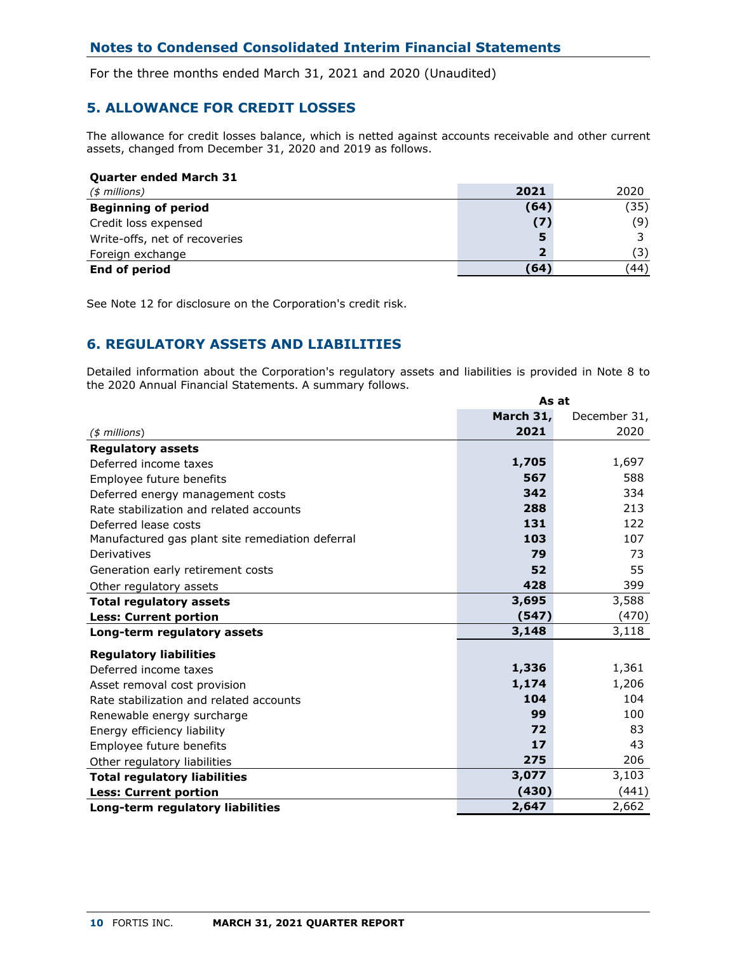For the three months ended March 31, 2021 and 2020 (Unaudited)

# **5. ALLOWANCE FOR CREDIT LOSSES**

The allowance for credit losses balance, which is netted against accounts receivable and other current assets, changed from December 31, 2020 and 2019 as follows.

| <b>Quarter ended March 31</b> |                         |      |
|-------------------------------|-------------------------|------|
| $($$ millions)                | 2021                    | 2020 |
| <b>Beginning of period</b>    | (64)                    | (35) |
| Credit loss expensed          | (7)                     | (9)  |
| Write-offs, net of recoveries | 5                       |      |
| Foreign exchange              | $\overline{\mathbf{2}}$ | (3)  |
| <b>End of period</b>          | (64                     | (44) |

See Note 12 for disclosure on the Corporation's credit risk.

# **6. REGULATORY ASSETS AND LIABILITIES**

Detailed information about the Corporation's regulatory assets and liabilities is provided in Note 8 to the 2020 Annual Financial Statements. A summary follows.

|                                                  | As at     |              |  |  |
|--------------------------------------------------|-----------|--------------|--|--|
|                                                  | March 31, | December 31, |  |  |
| $($$ millions)                                   | 2021      | 2020         |  |  |
| <b>Regulatory assets</b>                         |           |              |  |  |
| Deferred income taxes                            | 1,705     | 1,697        |  |  |
| Employee future benefits                         | 567       | 588          |  |  |
| Deferred energy management costs                 | 342       | 334          |  |  |
| Rate stabilization and related accounts          | 288       | 213          |  |  |
| Deferred lease costs                             | 131       | 122          |  |  |
| Manufactured gas plant site remediation deferral | 103       | 107          |  |  |
| Derivatives                                      | 79        | 73           |  |  |
| Generation early retirement costs                | 52        | 55           |  |  |
| Other regulatory assets                          | 428       | 399          |  |  |
| <b>Total regulatory assets</b>                   | 3,695     | 3,588        |  |  |
| <b>Less: Current portion</b>                     | (547)     | (470)        |  |  |
| Long-term regulatory assets                      | 3,148     | 3,118        |  |  |
| <b>Regulatory liabilities</b>                    |           |              |  |  |
| Deferred income taxes                            | 1,336     | 1,361        |  |  |
| Asset removal cost provision                     | 1,174     | 1,206        |  |  |
| Rate stabilization and related accounts          | 104       | 104          |  |  |
| Renewable energy surcharge                       | 99        | 100          |  |  |
| Energy efficiency liability                      | 72        | 83           |  |  |
| Employee future benefits                         | 17        | 43           |  |  |
| Other regulatory liabilities                     | 275       | 206          |  |  |
| <b>Total regulatory liabilities</b>              | 3,077     | 3,103        |  |  |
| <b>Less: Current portion</b>                     | (430)     | (441)        |  |  |
| Long-term regulatory liabilities                 | 2,647     | 2,662        |  |  |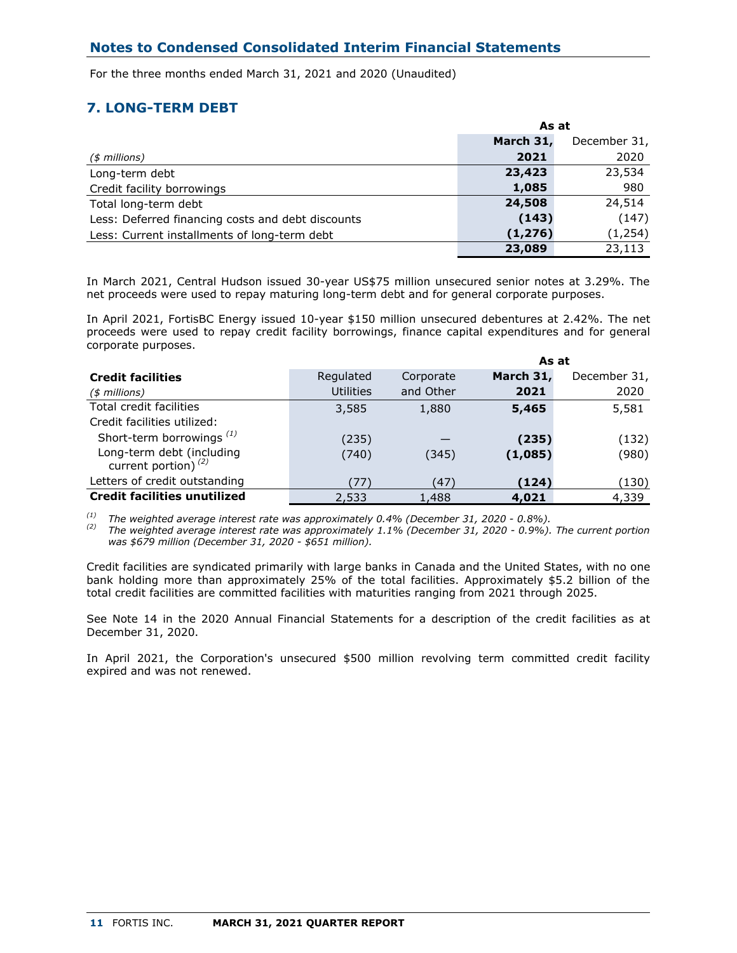For the three months ended March 31, 2021 and 2020 (Unaudited)

# **7. LONG-TERM DEBT**

|                                                   | As at     |              |  |  |
|---------------------------------------------------|-----------|--------------|--|--|
|                                                   | March 31, | December 31, |  |  |
| $($$ millions)                                    | 2021      | 2020         |  |  |
| Long-term debt                                    | 23,423    | 23,534       |  |  |
| Credit facility borrowings                        | 1,085     | 980          |  |  |
| Total long-term debt                              | 24,508    | 24,514       |  |  |
| Less: Deferred financing costs and debt discounts | (143)     | (147)        |  |  |
| Less: Current installments of long-term debt      | (1, 276)  | (1, 254)     |  |  |
|                                                   | 23,089    | 23,113       |  |  |

In March 2021, Central Hudson issued 30-year US\$75 million unsecured senior notes at 3.29%. The net proceeds were used to repay maturing long-term debt and for general corporate purposes.

In April 2021, FortisBC Energy issued 10-year \$150 million unsecured debentures at 2.42%. The net proceeds were used to repay credit facility borrowings, finance capital expenditures and for general corporate purposes.

|                                                     |                  |           | As at     |              |  |
|-----------------------------------------------------|------------------|-----------|-----------|--------------|--|
| <b>Credit facilities</b>                            | Regulated        | Corporate | March 31, | December 31, |  |
| $($$ millions)                                      | <b>Utilities</b> | and Other | 2021      | 2020         |  |
| Total credit facilities                             | 3,585            | 1,880     | 5,465     | 5,581        |  |
| Credit facilities utilized:                         |                  |           |           |              |  |
| Short-term borrowings <sup>(1)</sup>                | (235)            |           | (235)     | (132)        |  |
| Long-term debt (including<br>current portion) $(2)$ | (740)            | (345)     | (1,085)   | (980)        |  |
| Letters of credit outstanding                       | (77)             | (47)      | (124)     | (130)        |  |
| <b>Credit facilities unutilized</b>                 | 2,533            | 1,488     | 4,021     | 4,339        |  |

*(1) The weighted average interest rate was approximately 0.4% (December 31, 2020 - 0.8%).*

*(2) The weighted average interest rate was approximately 1.1% (December 31, 2020 - 0.9%). The current portion was \$679 million (December 31, 2020 - \$651 million).* 

Credit facilities are syndicated primarily with large banks in Canada and the United States, with no one bank holding more than approximately 25% of the total facilities. Approximately \$5.2 billion of the total credit facilities are committed facilities with maturities ranging from 2021 through 2025.

See Note 14 in the 2020 Annual Financial Statements for a description of the credit facilities as at December 31, 2020.

In April 2021, the Corporation's unsecured \$500 million revolving term committed credit facility expired and was not renewed.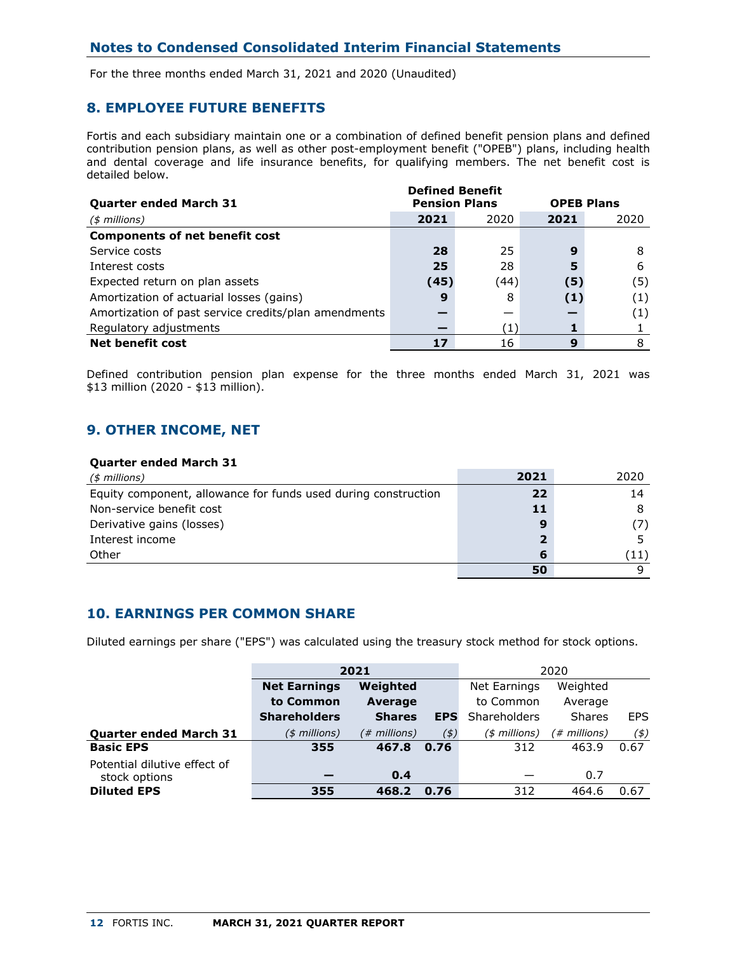For the three months ended March 31, 2021 and 2020 (Unaudited)

## **8. EMPLOYEE FUTURE BENEFITS**

Fortis and each subsidiary maintain one or a combination of defined benefit pension plans and defined contribution pension plans, as well as other post-employment benefit ("OPEB") plans, including health and dental coverage and life insurance benefits, for qualifying members. The net benefit cost is detailed below.

|                                                      |      | <b>Defined Benefit</b> |      |                   |  |  |
|------------------------------------------------------|------|------------------------|------|-------------------|--|--|
| <b>Quarter ended March 31</b>                        |      | <b>Pension Plans</b>   |      | <b>OPEB Plans</b> |  |  |
| $($$ millions)                                       | 2021 | 2020                   | 2021 | 2020              |  |  |
| <b>Components of net benefit cost</b>                |      |                        |      |                   |  |  |
| Service costs                                        | 28   | 25                     | 9    |                   |  |  |
| Interest costs                                       | 25   | 28                     | 5    | 6                 |  |  |
| Expected return on plan assets                       | (45) | (44)                   | 〔5〕  | (5)               |  |  |
| Amortization of actuarial losses (gains)             | 9    | 8                      | (1)  | (1)               |  |  |
| Amortization of past service credits/plan amendments |      |                        |      | (1)               |  |  |
| Regulatory adjustments                               |      | (1)                    |      |                   |  |  |
| <b>Net benefit cost</b>                              |      | 16                     | 9    |                   |  |  |

Defined contribution pension plan expense for the three months ended March 31, 2021 was \$13 million (2020 - \$13 million).

## **9. OTHER INCOME, NET**

## **Quarter ended March 31**

| $($$ millions)                                                 | 2021 | 2020 |
|----------------------------------------------------------------|------|------|
| Equity component, allowance for funds used during construction | 22   | 14   |
| Non-service benefit cost                                       | 11   |      |
| Derivative gains (losses)                                      | 9    |      |
| Interest income                                                | 2    |      |
| Other                                                          | 6    |      |
|                                                                | 50   |      |

## **10. EARNINGS PER COMMON SHARE**

Diluted earnings per share ("EPS") was calculated using the treasury stock method for stock options.

|                                               |                     | 2021           | 2020       |               |              |      |
|-----------------------------------------------|---------------------|----------------|------------|---------------|--------------|------|
|                                               | <b>Net Earnings</b> | Weighted       |            | Net Earnings  | Weighted     |      |
|                                               | to Common           | <b>Average</b> |            | to Common     | Average      |      |
|                                               | <b>Shareholders</b> | <b>Shares</b>  | <b>EPS</b> | Shareholders  | Shares       | EPS. |
| <b>Quarter ended March 31</b>                 | $($$ millions)      | (# millions)   | (5)        | (\$ millions) | (# millions) | (\$) |
| <b>Basic EPS</b>                              | 355                 | 467.8          | 0.76       | 312           | 463.9        | 0.67 |
| Potential dilutive effect of<br>stock options |                     | 0.4            |            |               | 0.7          |      |
| <b>Diluted EPS</b>                            | 355                 | 468.2          | 0.76       | 312           | 464.6        | 0.67 |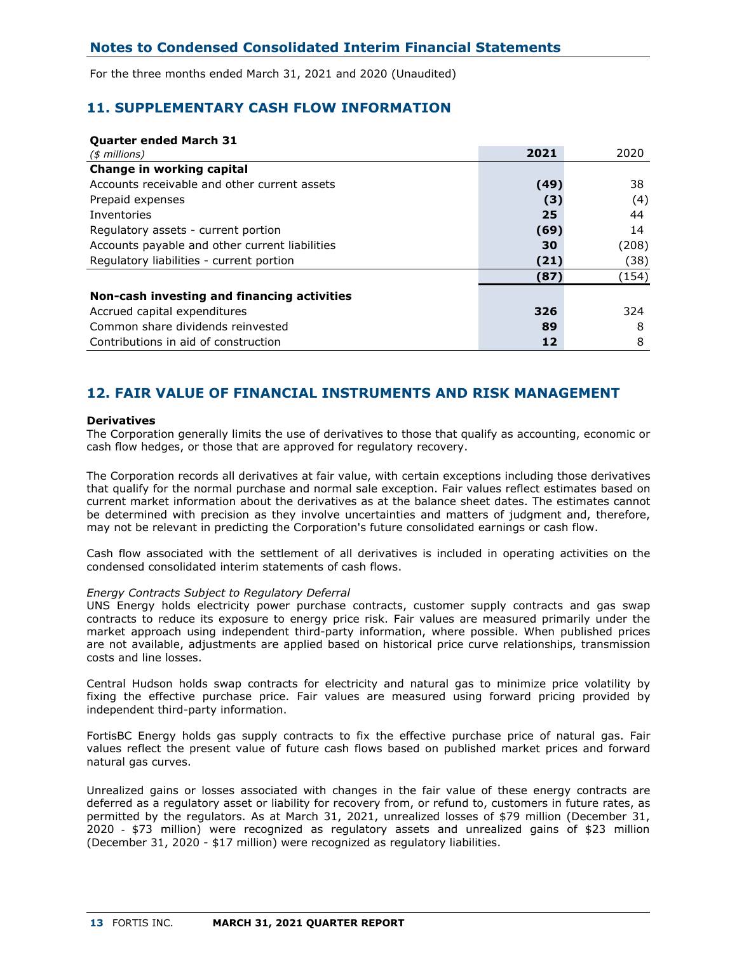For the three months ended March 31, 2021 and 2020 (Unaudited)

## **11. SUPPLEMENTARY CASH FLOW INFORMATION**

## **Quarter ended March 31**

| $($$ millions)                                 | 2021 | 2020  |
|------------------------------------------------|------|-------|
| Change in working capital                      |      |       |
| Accounts receivable and other current assets   | (49) | 38    |
| Prepaid expenses                               | (3)  | (4)   |
| Inventories                                    | 25   | 44    |
| Regulatory assets - current portion            | (69) | 14    |
| Accounts payable and other current liabilities | 30   | (208) |
| Regulatory liabilities - current portion       | (21) | (38)  |
|                                                | (87) | (154) |
| Non-cash investing and financing activities    |      |       |
| Accrued capital expenditures                   | 326  | 324   |
| Common share dividends reinvested              | 89   | 8     |
| Contributions in aid of construction           | 12   | 8     |

## **12. FAIR VALUE OF FINANCIAL INSTRUMENTS AND RISK MANAGEMENT**

### **Derivatives**

The Corporation generally limits the use of derivatives to those that qualify as accounting, economic or cash flow hedges, or those that are approved for regulatory recovery.

The Corporation records all derivatives at fair value, with certain exceptions including those derivatives that qualify for the normal purchase and normal sale exception. Fair values reflect estimates based on current market information about the derivatives as at the balance sheet dates. The estimates cannot be determined with precision as they involve uncertainties and matters of judgment and, therefore, may not be relevant in predicting the Corporation's future consolidated earnings or cash flow.

Cash flow associated with the settlement of all derivatives is included in operating activities on the condensed consolidated interim statements of cash flows.

#### *Energy Contracts Subject to Regulatory Deferral*

UNS Energy holds electricity power purchase contracts, customer supply contracts and gas swap contracts to reduce its exposure to energy price risk. Fair values are measured primarily under the market approach using independent third-party information, where possible. When published prices are not available, adjustments are applied based on historical price curve relationships, transmission costs and line losses.

Central Hudson holds swap contracts for electricity and natural gas to minimize price volatility by fixing the effective purchase price. Fair values are measured using forward pricing provided by independent third-party information.

FortisBC Energy holds gas supply contracts to fix the effective purchase price of natural gas. Fair values reflect the present value of future cash flows based on published market prices and forward natural gas curves.

Unrealized gains or losses associated with changes in the fair value of these energy contracts are deferred as a regulatory asset or liability for recovery from, or refund to, customers in future rates, as permitted by the regulators. As at March 31, 2021, unrealized losses of \$79 million (December 31, 2020 - \$73 million) were recognized as regulatory assets and unrealized gains of \$23 million (December 31, 2020 - \$17 million) were recognized as regulatory liabilities.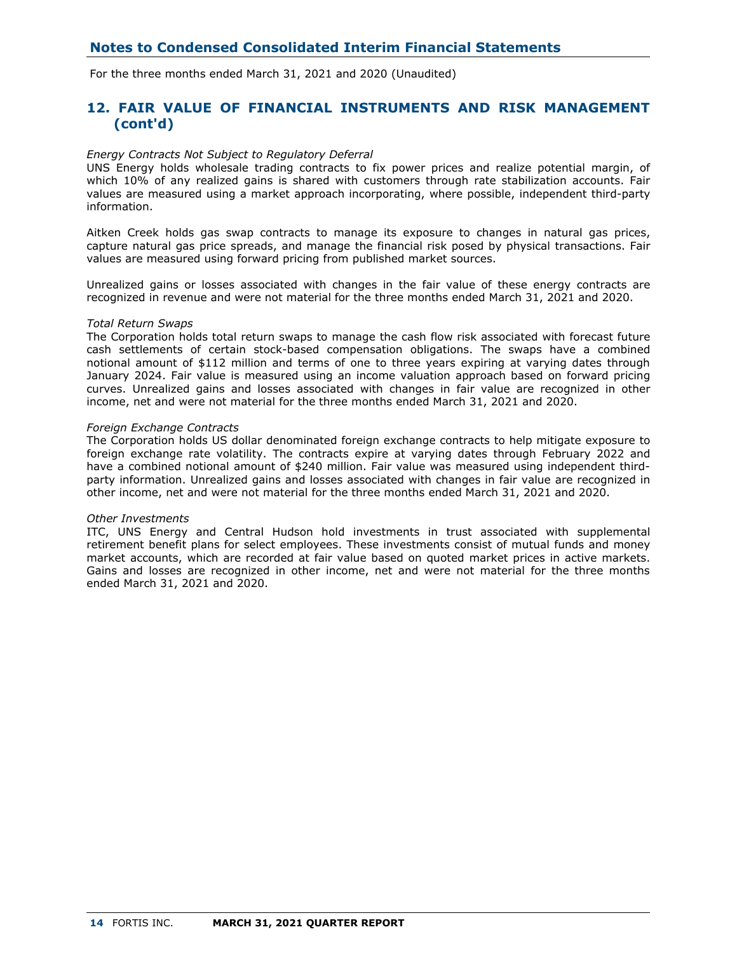For the three months ended March 31, 2021 and 2020 (Unaudited)

## **12. FAIR VALUE OF FINANCIAL INSTRUMENTS AND RISK MANAGEMENT (cont'd)**

#### *Energy Contracts Not Subject to Regulatory Deferral*

UNS Energy holds wholesale trading contracts to fix power prices and realize potential margin, of which 10% of any realized gains is shared with customers through rate stabilization accounts. Fair values are measured using a market approach incorporating, where possible, independent third-party information.

Aitken Creek holds gas swap contracts to manage its exposure to changes in natural gas prices, capture natural gas price spreads, and manage the financial risk posed by physical transactions. Fair values are measured using forward pricing from published market sources.

Unrealized gains or losses associated with changes in the fair value of these energy contracts are recognized in revenue and were not material for the three months ended March 31, 2021 and 2020.

#### *Total Return Swaps*

The Corporation holds total return swaps to manage the cash flow risk associated with forecast future cash settlements of certain stock-based compensation obligations. The swaps have a combined notional amount of \$112 million and terms of one to three years expiring at varying dates through January 2024. Fair value is measured using an income valuation approach based on forward pricing curves. Unrealized gains and losses associated with changes in fair value are recognized in other income, net and were not material for the three months ended March 31, 2021 and 2020.

#### *Foreign Exchange Contracts*

The Corporation holds US dollar denominated foreign exchange contracts to help mitigate exposure to foreign exchange rate volatility. The contracts expire at varying dates through February 2022 and have a combined notional amount of \$240 million. Fair value was measured using independent thirdparty information. Unrealized gains and losses associated with changes in fair value are recognized in other income, net and were not material for the three months ended March 31, 2021 and 2020.

### *Other Investments*

ITC, UNS Energy and Central Hudson hold investments in trust associated with supplemental retirement benefit plans for select employees. These investments consist of mutual funds and money market accounts, which are recorded at fair value based on quoted market prices in active markets. Gains and losses are recognized in other income, net and were not material for the three months ended March 31, 2021 and 2020.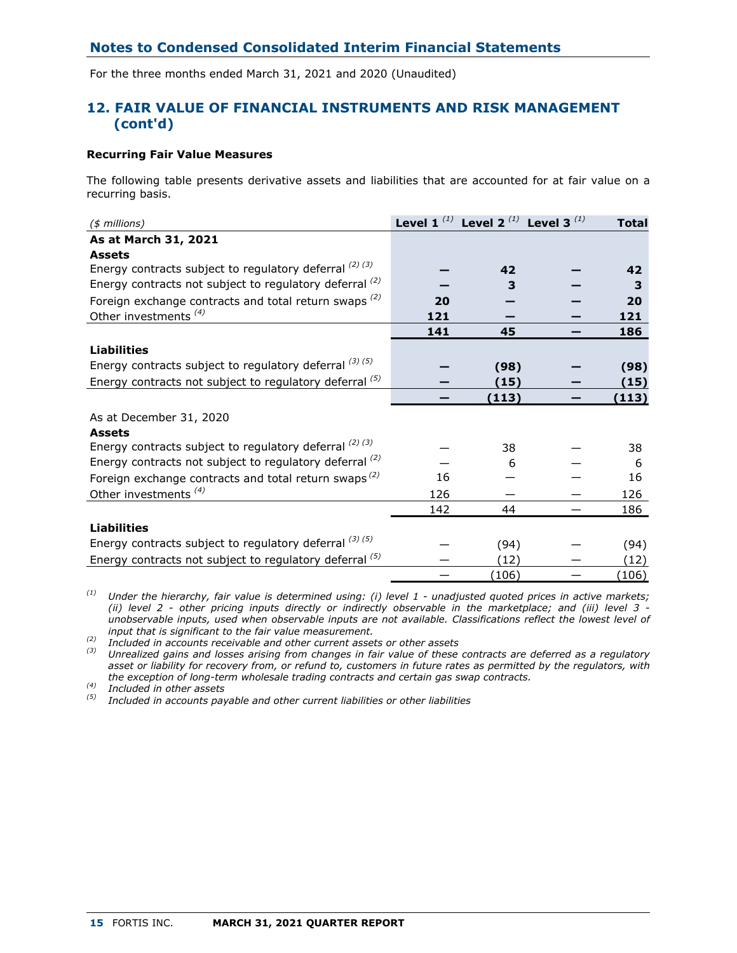For the three months ended March 31, 2021 and 2020 (Unaudited)

## **12. FAIR VALUE OF FINANCIAL INSTRUMENTS AND RISK MANAGEMENT (cont'd)**

## **Recurring Fair Value Measures**

The following table presents derivative assets and liabilities that are accounted for at fair value on a recurring basis.

| $(*)$ millions)                                                  |     | Level 1 <sup>(1)</sup> Level 2 <sup>(1)</sup> Level 3 <sup>(1)</sup> | <b>Total</b> |
|------------------------------------------------------------------|-----|----------------------------------------------------------------------|--------------|
| As at March 31, 2021                                             |     |                                                                      |              |
| <b>Assets</b>                                                    |     |                                                                      |              |
| Energy contracts subject to regulatory deferral $^{(2) (3)}$     |     | 42                                                                   | 42           |
| Energy contracts not subject to regulatory deferral $(2)$        |     | 3                                                                    | 3            |
| Foreign exchange contracts and total return swaps $(2)$          | 20  |                                                                      | 20           |
| Other investments <sup>(4)</sup>                                 | 121 |                                                                      | 121          |
|                                                                  | 141 | 45                                                                   | 186          |
| <b>Liabilities</b>                                               |     |                                                                      |              |
| Energy contracts subject to regulatory deferral $(3)(5)$         |     | (98)                                                                 | (98)         |
| Energy contracts not subject to regulatory deferral (5)          |     | (15)                                                                 | (15)         |
|                                                                  |     | (113)                                                                | (113)        |
| As at December 31, 2020                                          |     |                                                                      |              |
| <b>Assets</b>                                                    |     |                                                                      |              |
| Energy contracts subject to regulatory deferral $^{(2) (3)}$     |     | 38                                                                   | 38           |
| Energy contracts not subject to regulatory deferral $(2)$        |     | 6                                                                    | 6            |
| Foreign exchange contracts and total return swaps <sup>(2)</sup> | 16  |                                                                      | 16           |
| Other investments <sup>(4)</sup>                                 | 126 |                                                                      | 126          |
|                                                                  | 142 | 44                                                                   | 186          |
| <b>Liabilities</b>                                               |     |                                                                      |              |
| Energy contracts subject to regulatory deferral $(3)(5)$         |     | (94)                                                                 | (94)         |
| Energy contracts not subject to regulatory deferral (5)          |     | (12)                                                                 | (12)         |
|                                                                  |     | (106)                                                                | (106)        |

*(1) Under the hierarchy, fair value is determined using: (i) level 1 - unadjusted quoted prices in active markets; (ii) level 2 - other pricing inputs directly or indirectly observable in the marketplace; and (iii) level 3 unobservable inputs, used when observable inputs are not available. Classifications reflect the lowest level of input that is significant to the fair value measurement.*

*(2) Included in accounts receivable and other current assets or other assets*

*(3) Unrealized gains and losses arising from changes in fair value of these contracts are deferred as a regulatory asset or liability for recovery from, or refund to, customers in future rates as permitted by the regulators, with the exception of long-term wholesale trading contracts and certain gas swap contracts.*

*(4) Included in other assets*

*(5) Included in accounts payable and other current liabilities or other liabilities*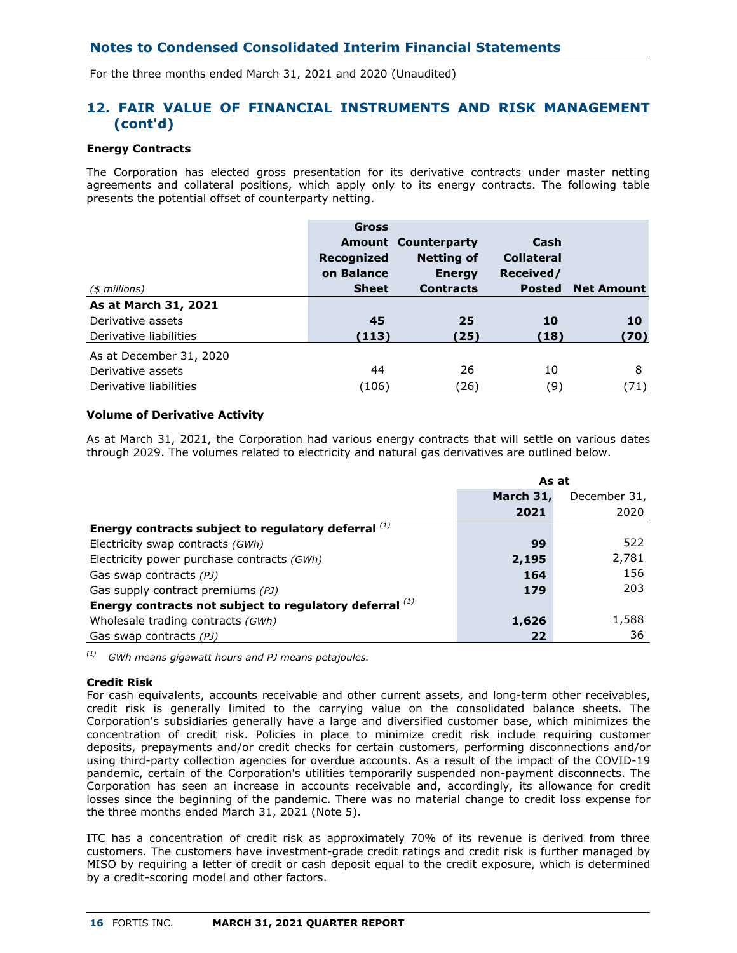For the three months ended March 31, 2021 and 2020 (Unaudited)

## **12. FAIR VALUE OF FINANCIAL INSTRUMENTS AND RISK MANAGEMENT (cont'd)**

## **Energy Contracts**

The Corporation has elected gross presentation for its derivative contracts under master netting agreements and collateral positions, which apply only to its energy contracts. The following table presents the potential offset of counterparty netting.

|                         | <b>Gross</b> |                            |                   |                   |
|-------------------------|--------------|----------------------------|-------------------|-------------------|
|                         |              | <b>Amount Counterparty</b> | Cash              |                   |
|                         | Recognized   | <b>Netting of</b>          | <b>Collateral</b> |                   |
|                         | on Balance   | <b>Energy</b>              | Received/         |                   |
| $($$ millions)          | <b>Sheet</b> | <b>Contracts</b>           | <b>Posted</b>     | <b>Net Amount</b> |
| As at March 31, 2021    |              |                            |                   |                   |
| Derivative assets       | 45           | 25                         | 10                | 10                |
| Derivative liabilities  | (113)        | (25)                       | (18)              | (70)              |
| As at December 31, 2020 |              |                            |                   |                   |
| Derivative assets       | 44           | 26                         | 10                | 8                 |
| Derivative liabilities  | (106)        | (26)                       | (9)               | (71)              |

## **Volume of Derivative Activity**

As at March 31, 2021, the Corporation had various energy contracts that will settle on various dates through 2029. The volumes related to electricity and natural gas derivatives are outlined below.

|                                                              | As at     |              |
|--------------------------------------------------------------|-----------|--------------|
|                                                              | March 31, | December 31, |
|                                                              | 2021      | 2020         |
| Energy contracts subject to regulatory deferral $^{(1)}$     |           |              |
| Electricity swap contracts (GWh)                             | 99        | 522          |
| Electricity power purchase contracts (GWh)                   | 2,195     | 2,781        |
| Gas swap contracts (PJ)                                      | 164       | 156          |
| Gas supply contract premiums (PJ)                            | 179       | 203          |
| Energy contracts not subject to regulatory deferral $^{(1)}$ |           |              |
| Wholesale trading contracts (GWh)                            | 1,626     | 1,588        |
| Gas swap contracts (PJ)                                      | 22        | 36           |

*(1) GWh means gigawatt hours and PJ means petajoules.*

### **Credit Risk**

For cash equivalents, accounts receivable and other current assets, and long-term other receivables, credit risk is generally limited to the carrying value on the consolidated balance sheets. The Corporation's subsidiaries generally have a large and diversified customer base, which minimizes the concentration of credit risk. Policies in place to minimize credit risk include requiring customer deposits, prepayments and/or credit checks for certain customers, performing disconnections and/or using third-party collection agencies for overdue accounts. As a result of the impact of the COVID-19 pandemic, certain of the Corporation's utilities temporarily suspended non-payment disconnects. The Corporation has seen an increase in accounts receivable and, accordingly, its allowance for credit losses since the beginning of the pandemic. There was no material change to credit loss expense for the three months ended March 31, 2021 (Note 5).

ITC has a concentration of credit risk as approximately 70% of its revenue is derived from three customers. The customers have investment-grade credit ratings and credit risk is further managed by MISO by requiring a letter of credit or cash deposit equal to the credit exposure, which is determined by a credit-scoring model and other factors.